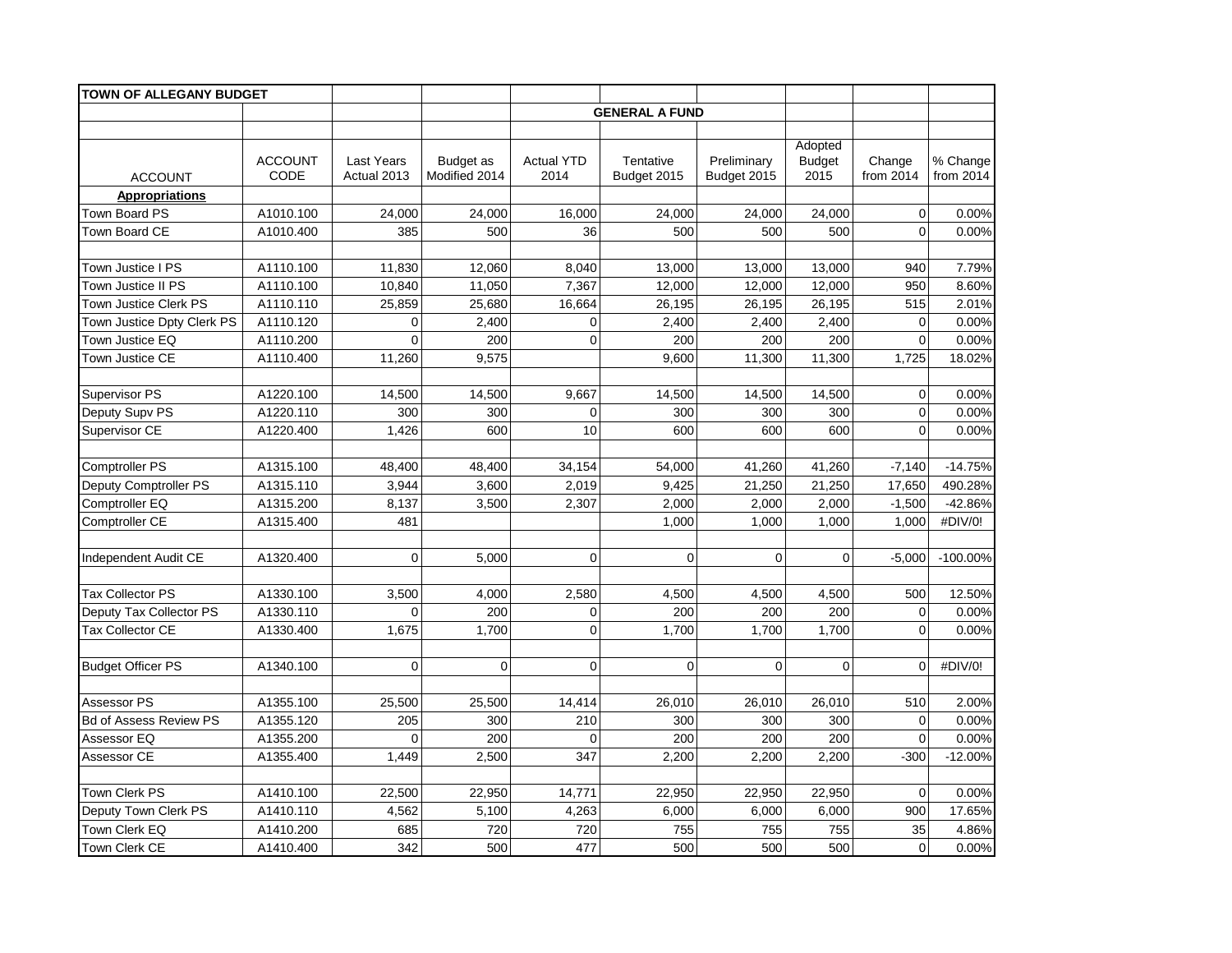| <b>TOWN OF ALLEGANY BUDGET</b>          |                        |                           |                            |                           |                          |                            |                                  |                     |                         |
|-----------------------------------------|------------------------|---------------------------|----------------------------|---------------------------|--------------------------|----------------------------|----------------------------------|---------------------|-------------------------|
|                                         |                        |                           |                            |                           | <b>GENERAL A FUND</b>    |                            |                                  |                     |                         |
|                                         |                        |                           |                            |                           |                          |                            |                                  |                     |                         |
| <b>ACCOUNT</b>                          | <b>ACCOUNT</b><br>CODE | Last Years<br>Actual 2013 | Budget as<br>Modified 2014 | <b>Actual YTD</b><br>2014 | Tentative<br>Budget 2015 | Preliminary<br>Budget 2015 | Adopted<br><b>Budget</b><br>2015 | Change<br>from 2014 | % Change<br>from $2014$ |
| <b>Appropriations</b>                   |                        |                           |                            |                           |                          |                            |                                  |                     |                         |
| Town Board PS                           | A1010.100              | 24,000                    | 24,000                     | 16,000                    | 24,000                   | 24,000                     | 24,000                           | $\mathbf 0$         | 0.00%                   |
| Town Board CE                           | A1010.400              | 385                       | 500                        | 36                        | 500                      | 500                        | 500                              | $\mathbf 0$         | 0.00%                   |
|                                         |                        |                           |                            |                           |                          |                            |                                  |                     |                         |
| Town Justice I PS                       | A1110.100              | 11,830                    | 12,060                     | 8,040                     | 13,000                   | 13,000                     | 13,000                           | 940                 | 7.79%                   |
| Town Justice II PS                      | A1110.100              | 10,840                    | 11,050                     | 7,367                     | 12,000                   | 12,000                     | 12,000                           | 950                 | 8.60%                   |
| <b>Town Justice Clerk PS</b>            | A1110.110              | 25,859                    | 25,680                     | 16,664                    | 26,195                   | 26,195                     | 26,195                           | 515                 | 2.01%                   |
| Town Justice Dpty Clerk PS              | A1110.120              | $\mathbf 0$               | 2,400                      | $\mathbf 0$               | 2,400                    | 2,400                      | 2,400                            | $\mathbf 0$         | 0.00%                   |
| Town Justice EQ                         | A1110.200              | $\overline{0}$            | 200                        | $\overline{0}$            | 200                      | 200                        | 200                              | $\mathbf 0$         | 0.00%                   |
| Town Justice CE                         | A1110.400              | 11,260                    | 9,575                      |                           | 9,600                    | 11,300                     | 11,300                           | 1,725               | 18.02%                  |
| <b>Supervisor PS</b>                    | A1220.100              | 14,500                    | 14,500                     | 9,667                     | 14,500                   | 14,500                     | 14,500                           | $\mathbf 0$         | 0.00%                   |
| Deputy Supv PS                          | A1220.110              | 300                       | 300                        | $\Omega$                  | 300                      | 300                        | 300                              | $\mathbf 0$         | 0.00%                   |
| Supervisor CE                           | A1220.400              | 1,426                     | 600                        | 10                        | 600                      | 600                        | 600                              | $\Omega$            | 0.00%                   |
| <b>Comptroller PS</b>                   | A1315.100              | 48,400                    |                            |                           | 54,000                   |                            | 41,260                           |                     | $-14.75%$               |
|                                         | A1315.110              | 3,944                     | 48,400<br>3,600            | 34,154<br>2,019           | 9,425                    | 41,260<br>21,250           | 21,250                           | $-7,140$<br>17,650  | 490.28%                 |
| Deputy Comptroller PS<br>Comptroller EQ | A1315.200              | 8,137                     | 3,500                      | 2,307                     | 2,000                    | 2,000                      | 2,000                            | $-1,500$            | -42.86%                 |
| Comptroller CE                          | A1315.400              | 481                       |                            |                           | 1,000                    | 1,000                      | 1,000                            | 1,000               | #DIV/0!                 |
|                                         |                        |                           |                            |                           |                          |                            |                                  |                     |                         |
| Independent Audit CE                    | A1320.400              | $\mathbf 0$               | 5,000                      | $\mathbf 0$               | $\overline{0}$           | $\overline{0}$             | $\overline{0}$                   | $-5,000$            | $-100.00%$              |
| <b>Tax Collector PS</b>                 | A1330.100              | 3,500                     | 4,000                      | 2,580                     | 4,500                    | 4,500                      | 4,500                            | 500                 | 12.50%                  |
| Deputy Tax Collector PS                 | A1330.110              | $\overline{0}$            | 200                        | $\mathbf 0$               | 200                      | 200                        | 200                              | $\mathbf 0$         | 0.00%                   |
| <b>Tax Collector CE</b>                 | A1330.400              | 1,675                     | 1.700                      | $\overline{0}$            | 1.700                    | 1.700                      | 1.700                            | $\Omega$            | 0.00%                   |
|                                         |                        |                           |                            |                           |                          |                            |                                  |                     |                         |
| <b>Budget Officer PS</b>                | A1340.100              | $\mathbf 0$               | $\mathbf 0$                | $\Omega$                  | $\Omega$                 | $\mathbf 0$                | $\mathbf 0$                      | $\Omega$            | #DIV/0!                 |
| Assessor PS                             | A1355.100              | 25,500                    | 25,500                     | 14,414                    | 26,010                   | 26,010                     | 26,010                           | 510                 | 2.00%                   |
| <b>Bd of Assess Review PS</b>           | A1355.120              | 205                       | 300                        | 210                       | 300                      | 300                        | 300                              | $\mathbf 0$         | 0.00%                   |
| Assessor EQ                             | A1355.200              | $\mathbf 0$               | 200                        | $\mathbf 0$               | 200                      | 200                        | 200                              | $\mathbf 0$         | 0.00%                   |
| Assessor CE                             | A1355.400              | 1,449                     | 2,500                      | 347                       | 2,200                    | 2,200                      | 2,200                            | $-300$              | $-12.00%$               |
|                                         |                        |                           |                            |                           |                          |                            |                                  |                     |                         |
| <b>Town Clerk PS</b>                    | A1410.100              | 22,500                    | 22,950                     | 14,771                    | 22,950                   | 22,950                     | 22,950                           | $\mathbf 0$         | 0.00%                   |
| Deputy Town Clerk PS                    | A1410.110              | 4,562                     | 5,100                      | 4,263                     | 6,000                    | 6,000                      | 6,000                            | 900                 | 17.65%                  |
| Town Clerk EQ                           | A1410.200              | 685                       | 720                        | 720                       | 755                      | 755                        | 755                              | 35                  | 4.86%                   |
| Town Clerk CE                           | A1410.400              | 342                       | 500                        | 477                       | 500                      | 500                        | 500                              | $\mathbf 0$         | 0.00%                   |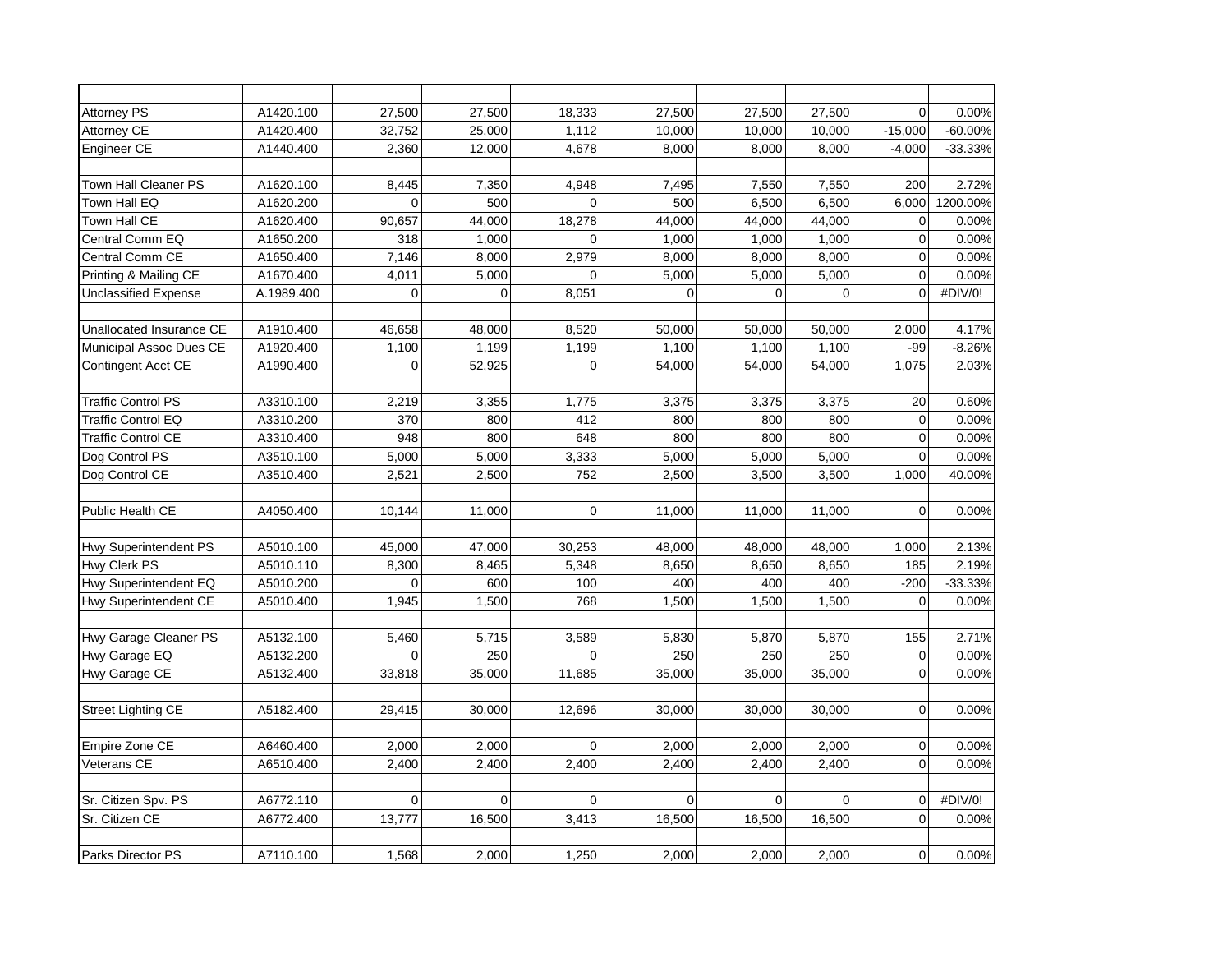| <b>Attorney PS</b>          | A1420.100  | 27,500         | 27,500      | 18,333   | 27,500         | 27,500      | 27,500      | $\Omega$       | 0.00%     |
|-----------------------------|------------|----------------|-------------|----------|----------------|-------------|-------------|----------------|-----------|
| Attorney CE                 | A1420.400  | 32,752         | 25.000      | 1,112    | 10,000         | 10,000      | 10,000      | $-15.000$      | $-60.00%$ |
| Engineer CE                 | A1440.400  | 2,360          | 12,000      | 4,678    | 8,000          | 8,000       | 8,000       | $-4,000$       | $-33.33%$ |
|                             |            |                |             |          |                |             |             |                |           |
| <b>Town Hall Cleaner PS</b> | A1620.100  | 8,445          | 7,350       | 4,948    | 7,495          | 7,550       | 7,550       | 200            | 2.72%     |
| Town Hall EQ                | A1620.200  | $\overline{0}$ | 500         | $\Omega$ | 500            | 6,500       | 6,500       | 6,000          | 1200.00%  |
| Town Hall CE                | A1620.400  | 90,657         | 44,000      | 18,278   | 44,000         | 44,000      | 44,000      | $\mathbf 0$    | 0.00%     |
| Central Comm EQ             | A1650.200  | 318            | 1,000       | $\Omega$ | 1,000          | 1,000       | 1,000       | $\mathbf 0$    | 0.00%     |
| Central Comm CE             | A1650.400  | 7,146          | 8,000       | 2,979    | 8,000          | 8,000       | 8,000       | $\mathbf 0$    | 0.00%     |
| Printing & Mailing CE       | A1670.400  | 4,011          | 5,000       | $\Omega$ | 5,000          | 5,000       | 5,000       | $\overline{0}$ | 0.00%     |
| <b>Unclassified Expense</b> | A.1989.400 | $\mathbf 0$    | $\mathbf 0$ | 8,051    | $\overline{0}$ | $\mathbf 0$ | $\mathbf 0$ | $\mathbf 0$    | #DIV/0!   |
|                             |            |                |             |          |                |             |             |                |           |
| Unallocated Insurance CE    | A1910.400  | 46,658         | 48,000      | 8,520    | 50,000         | 50,000      | 50,000      | 2,000          | 4.17%     |
| Municipal Assoc Dues CE     | A1920.400  | 1,100          | 1,199       | 1,199    | 1,100          | 1,100       | 1,100       | $-99$          | $-8.26%$  |
| Contingent Acct CE          | A1990.400  | $\Omega$       | 52,925      | $\Omega$ | 54,000         | 54,000      | 54,000      | 1,075          | 2.03%     |
|                             |            |                |             |          |                |             |             |                |           |
| <b>Traffic Control PS</b>   | A3310.100  | 2,219          | 3,355       | 1,775    | 3,375          | 3,375       | 3,375       | 20             | 0.60%     |
| <b>Traffic Control EQ</b>   | A3310.200  | 370            | 800         | 412      | 800            | 800         | 800         | $\mathbf 0$    | 0.00%     |
| <b>Traffic Control CE</b>   | A3310.400  | 948            | 800         | 648      | 800            | 800         | 800         | $\mathbf 0$    | 0.00%     |
| Dog Control PS              | A3510.100  | 5,000          | 5,000       | 3,333    | 5,000          | 5,000       | 5,000       | $\mathbf 0$    | 0.00%     |
| Dog Control CE              | A3510.400  | 2,521          | 2,500       | 752      | 2,500          | 3,500       | 3,500       | 1,000          | 40.00%    |
|                             |            |                |             |          |                |             |             |                |           |
| Public Health CE            | A4050.400  | 10.144         | 11.000      | $\Omega$ | 11,000         | 11,000      | 11,000      | $\mathbf 0$    | 0.00%     |
|                             |            |                |             |          |                |             |             |                |           |
| Hwy Superintendent PS       | A5010.100  | 45,000         | 47,000      | 30,253   | 48,000         | 48,000      | 48,000      | 1,000          | 2.13%     |
| Hwy Clerk PS                | A5010.110  | 8,300          | 8,465       | 5,348    | 8,650          | 8,650       | 8,650       | 185            | 2.19%     |
| Hwy Superintendent EQ       | A5010.200  | $\Omega$       | 600         | 100      | 400            | 400         | 400         | $-200$         | $-33.33%$ |
| Hwy Superintendent CE       | A5010.400  | 1,945          | 1,500       | 768      | 1,500          | 1,500       | 1,500       | 0              | 0.00%     |
|                             |            |                |             |          |                |             |             |                |           |
| Hwy Garage Cleaner PS       | A5132.100  | 5,460          | 5,715       | 3,589    | 5,830          | 5,870       | 5,870       | 155            | 2.71%     |
| Hwy Garage EQ               | A5132.200  | $\Omega$       | 250         | $\Omega$ | 250            | 250         | 250         | $\mathbf 0$    | 0.00%     |
| Hwy Garage CE               | A5132.400  | 33,818         | 35,000      | 11,685   | 35,000         | 35,000      | 35,000      | $\mathbf 0$    | 0.00%     |
|                             |            |                |             |          |                |             |             |                |           |
| <b>Street Lighting CE</b>   | A5182.400  | 29,415         | 30,000      | 12,696   | 30,000         | 30,000      | 30,000      | $\mathbf 0$    | 0.00%     |
|                             |            |                |             |          |                |             |             |                |           |
| Empire Zone CE              | A6460.400  | 2,000          | 2,000       | $\Omega$ | 2,000          | 2,000       | 2,000       | 0              | 0.00%     |
| Veterans CE                 | A6510.400  | 2,400          | 2.400       | 2.400    | 2,400          | 2,400       | 2,400       | $\overline{0}$ | 0.00%     |
|                             |            |                |             |          |                |             |             |                |           |
| Sr. Citizen Spv. PS         | A6772.110  | $\Omega$       | $\Omega$    | $\Omega$ | $\Omega$       | $\mathbf 0$ | $\Omega$    | $\mathbf 0$    | #DIV/0!   |
| Sr. Citizen CE              | A6772.400  | 13,777         | 16,500      | 3,413    | 16,500         | 16,500      | 16,500      | $\mathbf 0$    | 0.00%     |
|                             |            |                |             |          |                |             |             |                |           |
| Parks Director PS           | A7110.100  | 1,568          | 2,000       | 1,250    | 2,000          | 2,000       | 2,000       | 0              | 0.00%     |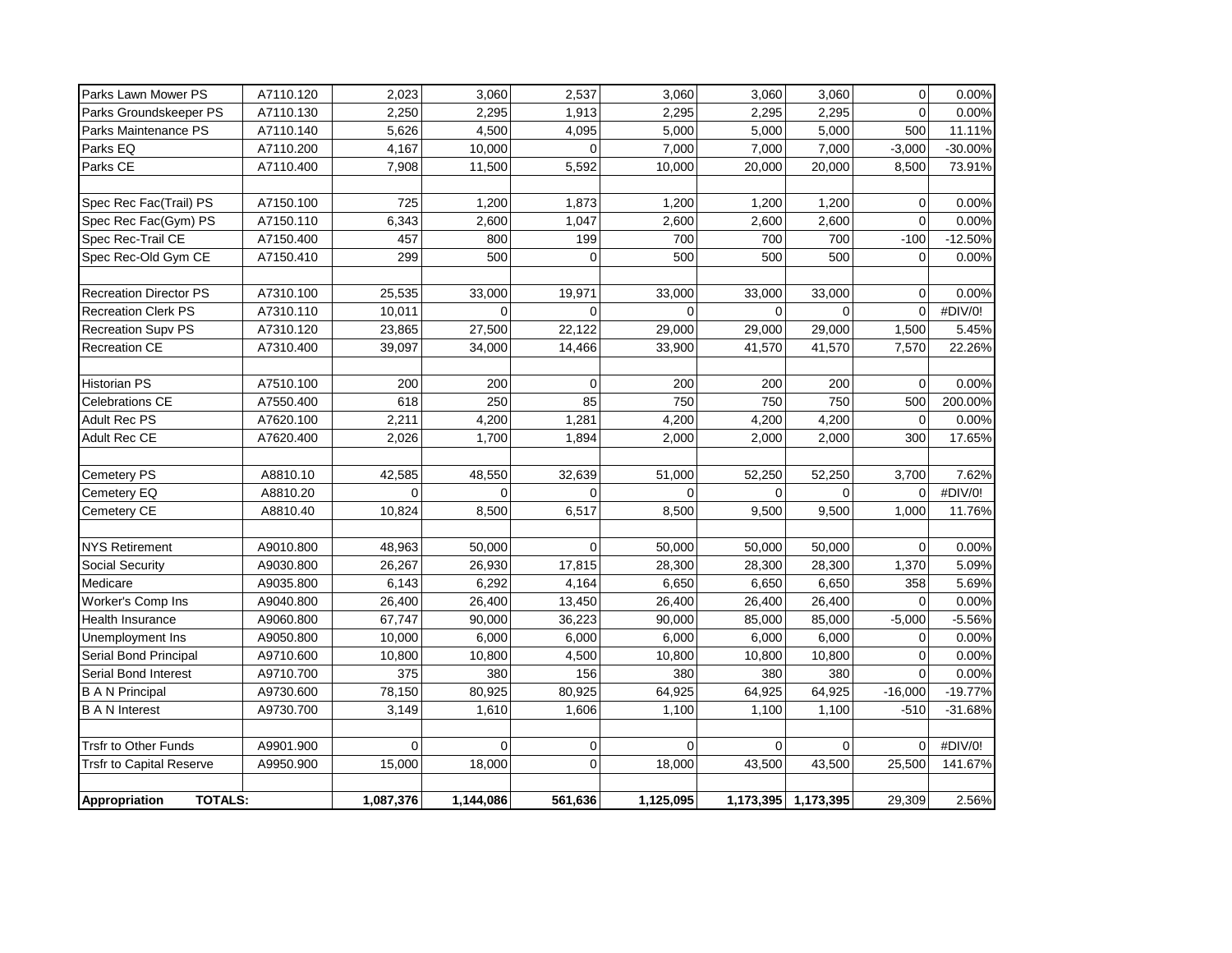| Parks Lawn Mower PS             | A7110.120 | 2,023       | 3,060       | 2,537       | 3,060     | 3,060        | 3,060               | $\mathbf 0$    | 0.00%     |
|---------------------------------|-----------|-------------|-------------|-------------|-----------|--------------|---------------------|----------------|-----------|
| Parks Groundskeeper PS          | A7110.130 | 2,250       | 2,295       | 1,913       | 2,295     | 2,295        | 2,295               | $\mathbf 0$    | 0.00%     |
| Parks Maintenance PS            | A7110.140 | 5,626       | 4,500       | 4,095       | 5,000     | 5,000        | 5,000               | 500            | 11.11%    |
| Parks EQ                        | A7110.200 | 4,167       | 10,000      | $\Omega$    | 7,000     | 7,000        | 7,000               | $-3,000$       | $-30.00%$ |
| Parks CE                        | A7110.400 | 7,908       | 11,500      | 5,592       | 10,000    | 20,000       | 20,000              | 8,500          | 73.91%    |
|                                 |           |             |             |             |           |              |                     |                |           |
| Spec Rec Fac(Trail) PS          | A7150.100 | 725         | 1,200       | 1,873       | 1,200     | 1,200        | 1,200               | 0              | 0.00%     |
| Spec Rec Fac(Gym) PS            | A7150.110 | 6,343       | 2,600       | 1,047       | 2,600     | 2,600        | 2,600               | $\mathbf 0$    | 0.00%     |
| Spec Rec-Trail CE               | A7150.400 | 457         | 800         | 199         | 700       | 700          | 700                 | $-100$         | $-12.50%$ |
| Spec Rec-Old Gym CE             | A7150.410 | 299         | 500         | $\Omega$    | 500       | 500          | 500                 | $\mathbf 0$    | 0.00%     |
|                                 |           |             |             |             |           |              |                     |                |           |
| <b>Recreation Director PS</b>   | A7310.100 | 25,535      | 33,000      | 19,971      | 33,000    | 33,000       | 33,000              | $\Omega$       | 0.00%     |
| <b>Recreation Clerk PS</b>      | A7310.110 | 10,011      | $\Omega$    | $\Omega$    | $\Omega$  | $\mathbf{0}$ | $\Omega$            | $\Omega$       | #DIV/0!   |
| Recreation Supv PS              | A7310.120 | 23,865      | 27,500      | 22,122      | 29,000    | 29,000       | 29,000              | 1,500          | 5.45%     |
| <b>Recreation CE</b>            | A7310.400 | 39,097      | 34,000      | 14,466      | 33,900    | 41,570       | 41,570              | 7,570          | 22.26%    |
|                                 |           |             |             |             |           |              |                     |                |           |
| <b>Historian PS</b>             | A7510.100 | 200         | 200         | $\Omega$    | 200       | 200          | 200                 | $\Omega$       | 0.00%     |
| <b>Celebrations CE</b>          | A7550.400 | 618         | 250         | 85          | 750       | 750          | 750                 | 500            | 200.00%   |
| Adult Rec PS                    | A7620.100 | 2,211       | 4,200       | 1,281       | 4,200     | 4,200        | 4,200               | $\mathbf 0$    | 0.00%     |
| Adult Rec CE                    | A7620.400 | 2,026       | 1,700       | 1,894       | 2,000     | 2,000        | 2,000               | 300            | 17.65%    |
|                                 |           |             |             |             |           |              |                     |                |           |
| Cemetery PS                     | A8810.10  | 42,585      | 48,550      | 32,639      | 51,000    | 52,250       | 52,250              | 3,700          | 7.62%     |
| Cemetery EQ                     | A8810.20  | $\mathbf 0$ | $\Omega$    | $\Omega$    | $\Omega$  | $\mathbf 0$  | $\Omega$            | $\Omega$       | #DIV/0!   |
| Cemetery CE                     | A8810.40  | 10,824      | 8,500       | 6,517       | 8,500     | 9,500        | 9,500               | 1,000          | 11.76%    |
|                                 |           |             |             |             |           |              |                     |                |           |
| <b>NYS Retirement</b>           | A9010.800 | 48,963      | 50,000      | $\Omega$    | 50,000    | 50,000       | 50,000              | $\overline{0}$ | 0.00%     |
| Social Security                 | A9030.800 | 26,267      | 26,930      | 17,815      | 28,300    | 28,300       | 28,300              | 1,370          | 5.09%     |
| Medicare                        | A9035.800 | 6,143       | 6,292       | 4,164       | 6,650     | 6,650        | 6,650               | 358            | 5.69%     |
| Worker's Comp Ins               | A9040.800 | 26,400      | 26,400      | 13,450      | 26,400    | 26,400       | 26,400              | $\Omega$       | 0.00%     |
| Health Insurance                | A9060.800 | 67,747      | 90,000      | 36,223      | 90,000    | 85,000       | 85,000              | $-5,000$       | $-5.56%$  |
| Unemployment Ins                | A9050.800 | 10,000      | 6,000       | 6,000       | 6,000     | 6,000        | 6,000               | 0              | 0.00%     |
| Serial Bond Principal           | A9710.600 | 10,800      | 10,800      | 4,500       | 10,800    | 10,800       | 10,800              | $\mathbf 0$    | 0.00%     |
| Serial Bond Interest            | A9710.700 | 375         | 380         | 156         | 380       | 380          | 380                 | $\Omega$       | 0.00%     |
| <b>B A N Principal</b>          | A9730.600 | 78,150      | 80,925      | 80,925      | 64,925    | 64,925       | 64,925              | $-16,000$      | $-19.77%$ |
| <b>B A N Interest</b>           | A9730.700 | 3,149       | 1,610       | 1,606       | 1,100     | 1,100        | 1,100               | $-510$         | $-31.68%$ |
|                                 |           |             |             |             |           |              |                     |                |           |
| <b>Trsfr to Other Funds</b>     | A9901.900 | $\mathbf 0$ | $\mathbf 0$ | 0           | 0         | 0            | 0                   | 0              | #DIV/0!   |
| <b>Trsfr to Capital Reserve</b> | A9950.900 | 15,000      | 18,000      | $\mathbf 0$ | 18,000    | 43,500       | 43,500              | 25,500         | 141.67%   |
|                                 |           |             |             |             |           |              |                     |                |           |
| <b>TOTALS:</b><br>Appropriation |           | 1,087,376   | 1,144,086   | 561,636     | 1,125,095 |              | 1,173,395 1,173,395 | 29,309         | 2.56%     |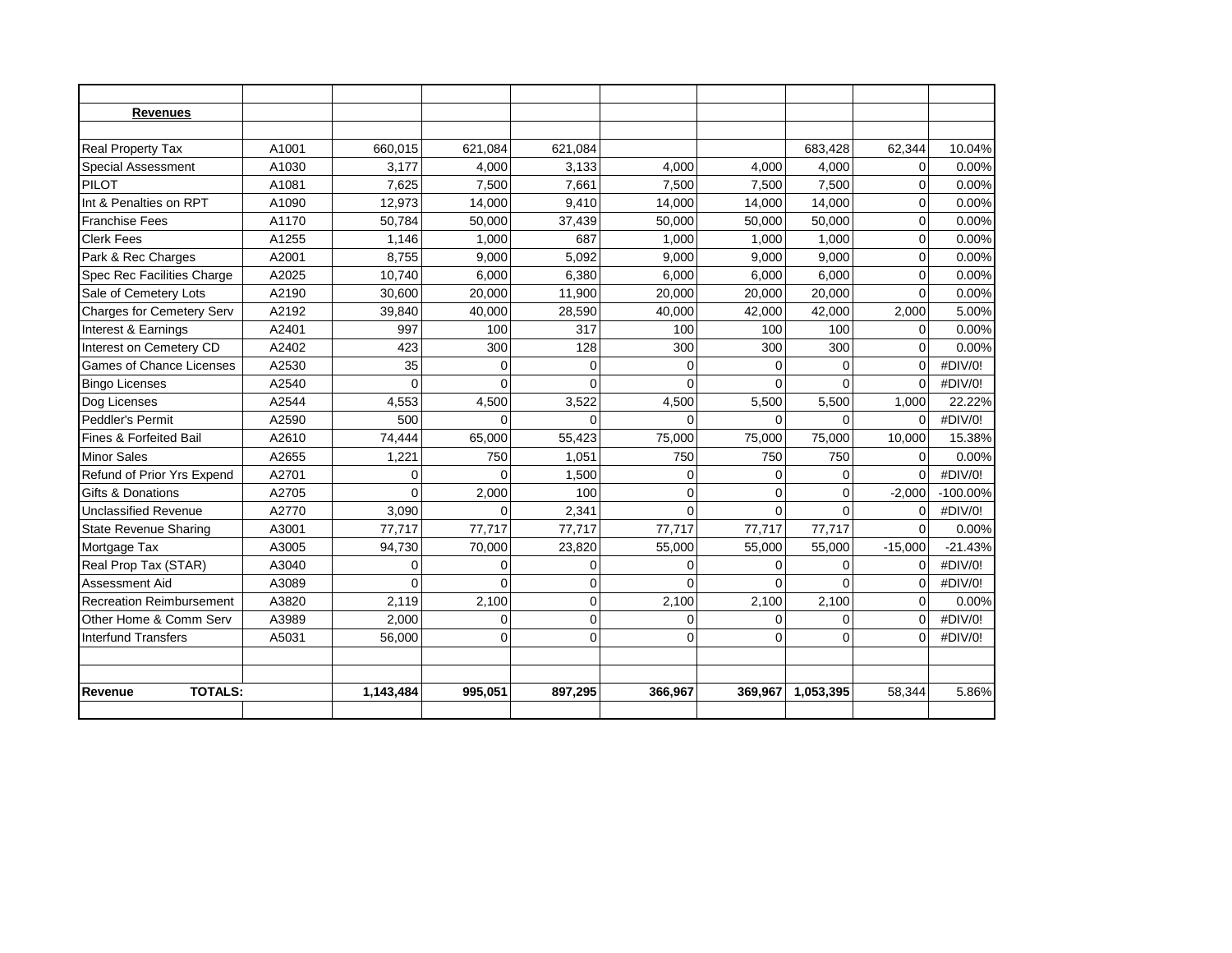| <b>Revenues</b>                  |       |           |          |             |          |          |              |           |             |
|----------------------------------|-------|-----------|----------|-------------|----------|----------|--------------|-----------|-------------|
|                                  |       |           |          |             |          |          |              |           |             |
| Real Property Tax                | A1001 | 660,015   | 621.084  | 621,084     |          |          | 683,428      | 62,344    | 10.04%      |
| Special Assessment               | A1030 | 3.177     | 4,000    | 3,133       | 4,000    | 4,000    | 4,000        | 0         | 0.00%       |
| <b>PILOT</b>                     | A1081 | 7,625     | 7,500    | 7,661       | 7,500    | 7.500    | 7,500        | $\Omega$  | 0.00%       |
| Int & Penalties on RPT           | A1090 | 12,973    | 14,000   | 9,410       | 14,000   | 14,000   | 14,000       | $\Omega$  | 0.00%       |
| <b>Franchise Fees</b>            | A1170 | 50,784    | 50,000   | 37,439      | 50,000   | 50,000   | 50,000       | $\Omega$  | 0.00%       |
| <b>Clerk Fees</b>                | A1255 | 1,146     | 1.000    | 687         | 1.000    | 1.000    | 1.000        | $\Omega$  | 0.00%       |
| Park & Rec Charges               | A2001 | 8,755     | 9.000    | 5,092       | 9,000    | 9.000    | 9,000        | $\Omega$  | 0.00%       |
| Spec Rec Facilities Charge       | A2025 | 10,740    | 6,000    | 6,380       | 6,000    | 6,000    | 6,000        | $\Omega$  | 0.00%       |
| Sale of Cemetery Lots            | A2190 | 30,600    | 20,000   | 11,900      | 20,000   | 20,000   | 20,000       | $\Omega$  | 0.00%       |
| <b>Charges for Cemetery Serv</b> | A2192 | 39.840    | 40.000   | 28,590      | 40,000   | 42.000   | 42.000       | 2.000     | 5.00%       |
| Interest & Earnings              | A2401 | 997       | 100      | 317         | 100      | 100      | 100          | $\Omega$  | 0.00%       |
| Interest on Cemetery CD          | A2402 | 423       | 300      | 128         | 300      | 300      | 300          | $\Omega$  | 0.00%       |
| <b>Games of Chance Licenses</b>  | A2530 | 35        | $\Omega$ | $\Omega$    | $\Omega$ | $\Omega$ | $\Omega$     | $\Omega$  | #DIV/0!     |
| <b>Bingo Licenses</b>            | A2540 | $\Omega$  | $\Omega$ | $\Omega$    | $\Omega$ | $\Omega$ | $\Omega$     | $\Omega$  | #DIV/0!     |
| Dog Licenses                     | A2544 | 4,553     | 4,500    | 3,522       | 4,500    | 5,500    | 5,500        | 1,000     | 22.22%      |
| Peddler's Permit                 | A2590 | 500       | $\Omega$ | $\Omega$    |          | $\Omega$ | $\Omega$     | $\Omega$  | #DIV/0!     |
| Fines & Forfeited Bail           | A2610 | 74,444    | 65,000   | 55,423      | 75,000   | 75,000   | 75,000       | 10,000    | 15.38%      |
| <b>Minor Sales</b>               | A2655 | 1,221     | 750      | 1,051       | 750      | 750      | 750          | $\Omega$  | 0.00%       |
| Refund of Prior Yrs Expend       | A2701 | $\Omega$  | $\Omega$ | 1,500       | 0        | $\Omega$ | $\mathbf 0$  | $\Omega$  | #DIV/0!     |
| Gifts & Donations                | A2705 | $\Omega$  | 2.000    | 100         | 0        | 0        | $\Omega$     | $-2.000$  | $-100.00\%$ |
| <b>Unclassified Revenue</b>      | A2770 | 3.090     | $\Omega$ | 2.341       | $\Omega$ | $\Omega$ | $\Omega$     | $\Omega$  | #DIV/0!     |
| <b>State Revenue Sharing</b>     | A3001 | 77,717    | 77.717   | 77,717      | 77.717   | 77,717   | 77,717       | $\Omega$  | 0.00%       |
| Mortgage Tax                     | A3005 | 94,730    | 70,000   | 23,820      | 55,000   | 55,000   | 55,000       | $-15,000$ | $-21.43%$   |
| Real Prop Tax (STAR)             | A3040 | 0         | $\Omega$ | 0           | $\Omega$ | $\Omega$ | $\Omega$     | $\Omega$  | #DIV/0!     |
| Assessment Aid                   | A3089 | $\Omega$  | $\Omega$ | $\Omega$    | $\Omega$ | $\Omega$ | $\Omega$     | $\Omega$  | #DIV/0!     |
| <b>Recreation Reimbursement</b>  | A3820 | 2,119     | 2,100    | $\mathbf 0$ | 2,100    | 2,100    | 2,100        | $\Omega$  | 0.00%       |
| Other Home & Comm Serv           | A3989 | 2,000     | 0        | $\mathbf 0$ | 0        | $\Omega$ | $\mathbf 0$  | $\Omega$  | #DIV/0!     |
| <b>Interfund Transfers</b>       | A5031 | 56,000    | $\Omega$ | $\Omega$    | $\Omega$ | $\Omega$ | $\mathbf{0}$ | $\Omega$  | #DIV/0!     |
|                                  |       |           |          |             |          |          |              |           |             |
| <b>TOTALS:</b>                   |       |           |          |             |          |          |              |           | 5.86%       |
| Revenue                          |       | 1,143,484 | 995.051  | 897,295     | 366.967  | 369.967  | 1,053,395    | 58.344    |             |
|                                  |       |           |          |             |          |          |              |           |             |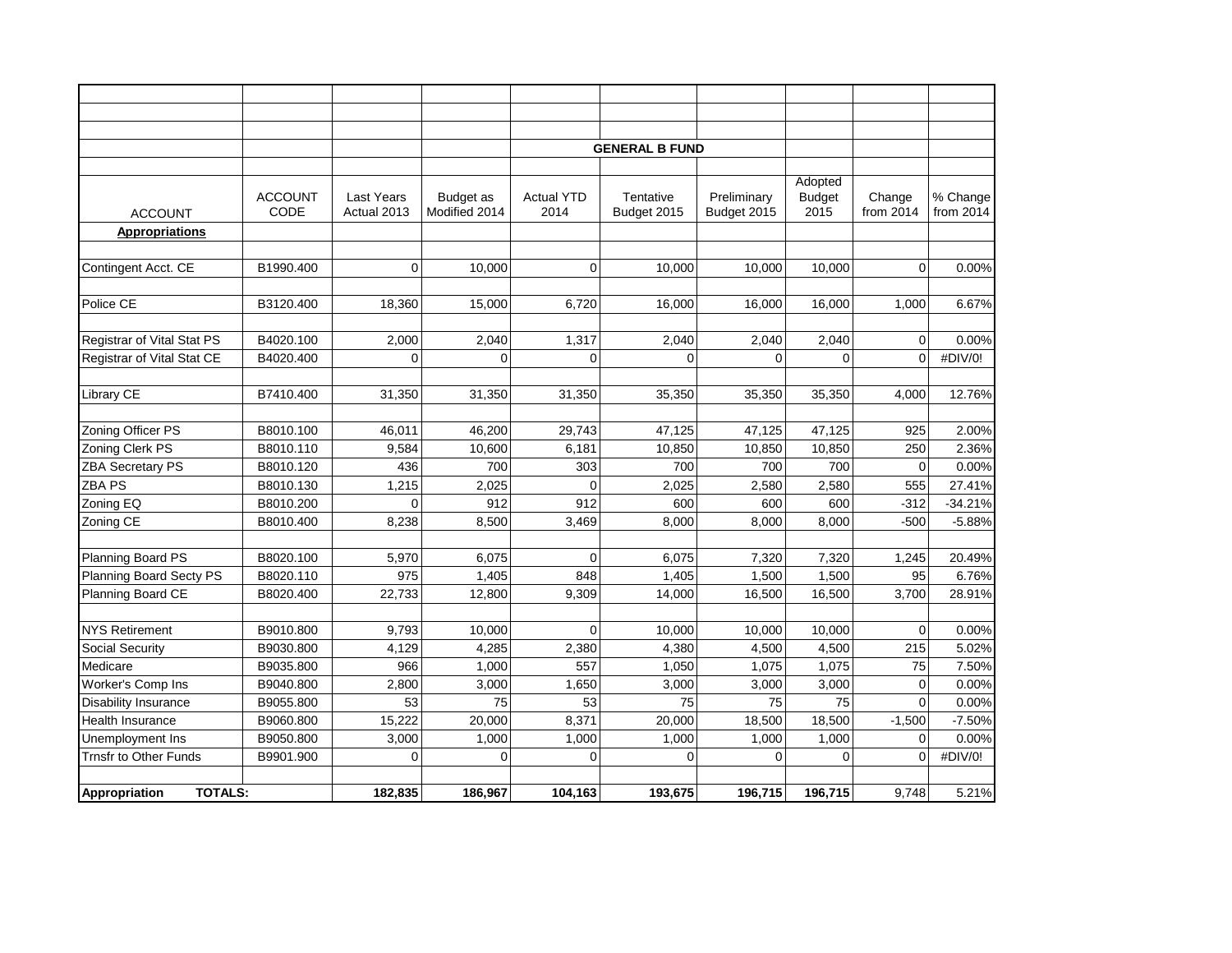|                                 |                |                   |               |                   | <b>GENERAL B FUND</b> |                |               |             |           |
|---------------------------------|----------------|-------------------|---------------|-------------------|-----------------------|----------------|---------------|-------------|-----------|
|                                 |                |                   |               |                   |                       |                |               |             |           |
|                                 |                |                   |               |                   |                       |                | Adopted       |             |           |
|                                 | <b>ACCOUNT</b> | <b>Last Years</b> | Budget as     | <b>Actual YTD</b> | Tentative             | Preliminary    | <b>Budget</b> | Change      | % Change  |
| <b>ACCOUNT</b>                  | CODE           | Actual 2013       | Modified 2014 | 2014              | Budget 2015           | Budget 2015    | 2015          | from 2014   | from 2014 |
| <b>Appropriations</b>           |                |                   |               |                   |                       |                |               |             |           |
|                                 |                |                   |               |                   |                       |                |               |             |           |
| Contingent Acct. CE             | B1990.400      | $\mathbf 0$       | 10,000        | $\Omega$          | 10,000                | 10,000         | 10,000        | $\Omega$    | 0.00%     |
|                                 |                |                   |               |                   |                       |                |               |             |           |
| Police CE                       | B3120.400      | 18,360            | 15,000        | 6,720             | 16,000                | 16.000         | 16,000        | 1,000       | 6.67%     |
|                                 |                |                   |               |                   |                       |                |               |             |           |
| Registrar of Vital Stat PS      | B4020.100      | 2,000             | 2,040         | 1,317             | 2,040                 | 2,040          | 2,040         | $\mathbf 0$ | 0.00%     |
| Registrar of Vital Stat CE      | B4020.400      | $\mathbf 0$       | $\Omega$      | $\Omega$          | $\Omega$              | $\overline{0}$ | $\Omega$      | $\mathbf 0$ | #DIV/0!   |
|                                 |                |                   |               |                   |                       |                |               |             |           |
| Library CE                      | B7410.400      | 31,350            | 31,350        | 31,350            | 35,350                | 35,350         | 35,350        | 4,000       | 12.76%    |
|                                 |                |                   |               |                   |                       |                |               |             |           |
| Zoning Officer PS               | B8010.100      | 46,011            | 46,200        | 29,743            | 47,125                | 47,125         | 47,125        | 925         | 2.00%     |
| Zoning Clerk PS                 | B8010.110      | 9,584             | 10,600        | 6,181             | 10,850                | 10,850         | 10,850        | 250         | 2.36%     |
| <b>ZBA Secretary PS</b>         | B8010.120      | 436               | 700           | 303               | 700                   | 700            | 700           | $\mathbf 0$ | 0.00%     |
| ZBA PS                          | B8010.130      | 1,215             | 2,025         | $\Omega$          | 2,025                 | 2,580          | 2,580         | 555         | 27.41%    |
| Zoning EQ                       | B8010.200      | $\mathbf 0$       | 912           | 912               | 600                   | 600            | 600           | $-312$      | $-34.21%$ |
| Zoning CE                       | B8010.400      | 8,238             | 8,500         | 3,469             | 8,000                 | 8.000          | 8,000         | $-500$      | $-5.88%$  |
|                                 |                |                   |               |                   |                       |                |               |             |           |
| Planning Board PS               | B8020.100      | 5,970             | 6,075         | $\Omega$          | 6,075                 | 7,320          | 7,320         | 1,245       | 20.49%    |
| Planning Board Secty PS         | B8020.110      | 975               | 1,405         | 848               | 1,405                 | 1,500          | 1,500         | 95          | 6.76%     |
| Planning Board CE               | B8020.400      | 22,733            | 12,800        | 9,309             | 14,000                | 16,500         | 16,500        | 3,700       | 28.91%    |
|                                 |                |                   |               |                   |                       |                |               |             |           |
| <b>NYS Retirement</b>           | B9010.800      | 9,793             | 10,000        | $\mathbf 0$       | 10,000                | 10,000         | 10,000        | $\mathbf 0$ | 0.00%     |
| Social Security                 | B9030.800      | 4,129             | 4,285         | 2,380             | 4,380                 | 4,500          | 4,500         | 215         | 5.02%     |
| Medicare                        | B9035.800      | 966               | 1,000         | 557               | 1,050                 | 1,075          | 1,075         | 75          | 7.50%     |
| Worker's Comp Ins               | B9040.800      | 2,800             | 3,000         | 1,650             | 3,000                 | 3,000          | 3,000         | $\mathbf 0$ | 0.00%     |
| <b>Disability Insurance</b>     | B9055.800      | 53                | 75            | 53                | 75                    | 75             | 75            | $\Omega$    | 0.00%     |
| Health Insurance                | B9060.800      | 15,222            | 20,000        | 8,371             | 20,000                | 18,500         | 18,500        | $-1,500$    | $-7.50%$  |
| Unemployment Ins                | B9050.800      | 3,000             | 1,000         | 1,000             | 1,000                 | 1,000          | 1,000         | $\mathbf 0$ | 0.00%     |
| Trnsfr to Other Funds           | B9901.900      | $\mathbf 0$       | $\mathbf 0$   | $\mathbf 0$       | 0                     | $\mathbf 0$    | $\mathbf 0$   | $\mathbf 0$ | #DIV/0!   |
|                                 |                |                   |               |                   |                       |                |               |             |           |
| <b>TOTALS:</b><br>Appropriation |                | 182.835           | 186,967       | 104,163           | 193,675               | 196,715        | 196,715       | 9,748       | 5.21%     |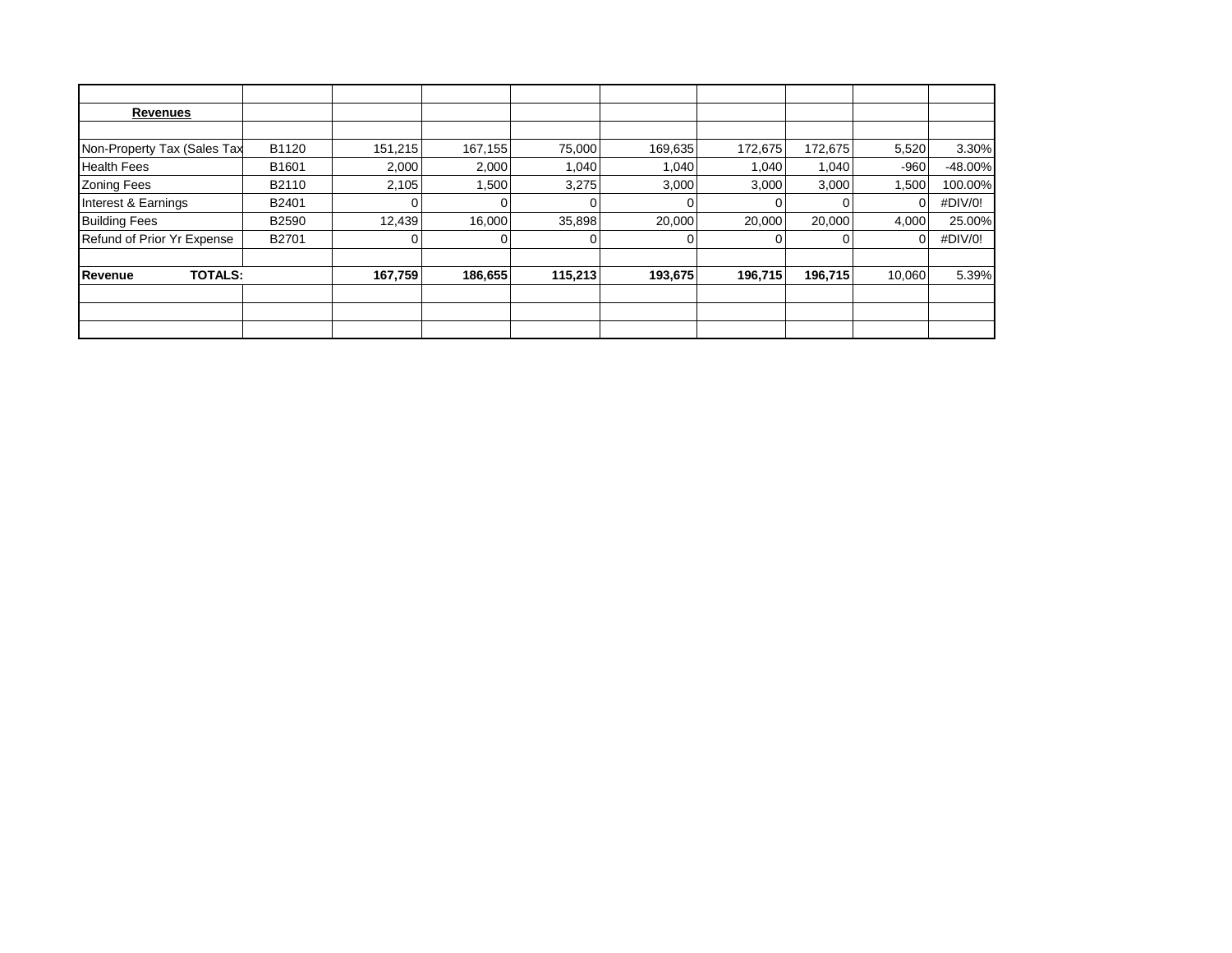| Revenues                    |       |         |         |         |         |         |         |        |            |
|-----------------------------|-------|---------|---------|---------|---------|---------|---------|--------|------------|
|                             |       |         |         |         |         |         |         |        |            |
| Non-Property Tax (Sales Tax | B1120 | 151,215 | 167,155 | 75,000  | 169,635 | 172,675 | 172,675 | 5,520  | 3.30%      |
| <b>Health Fees</b>          | B1601 | 2,000   | 2,000   | 1,040   | 1,040   | 1,040   | 1,040   | $-960$ | $-48.00\%$ |
| <b>Zoning Fees</b>          | B2110 | 2,105   | 1,500   | 3,275   | 3,000   | 3,000   | 3,000   | 1,500  | 100.00%    |
| Interest & Earnings         | B2401 |         |         |         |         |         |         |        | #DIV/0!    |
| <b>Building Fees</b>        | B2590 | 12,439  | 16,000  | 35,898  | 20,000  | 20,000  | 20,000  | 4,000  | 25.00%     |
| Refund of Prior Yr Expense  | B2701 |         |         |         |         |         |         |        | #DIV/0!    |
|                             |       |         |         |         |         |         |         |        |            |
| <b>TOTALS:</b><br>Revenue   |       | 167,759 | 186,655 | 115,213 | 193,675 | 196,715 | 196,715 | 10,060 | 5.39%      |
|                             |       |         |         |         |         |         |         |        |            |
|                             |       |         |         |         |         |         |         |        |            |
|                             |       |         |         |         |         |         |         |        |            |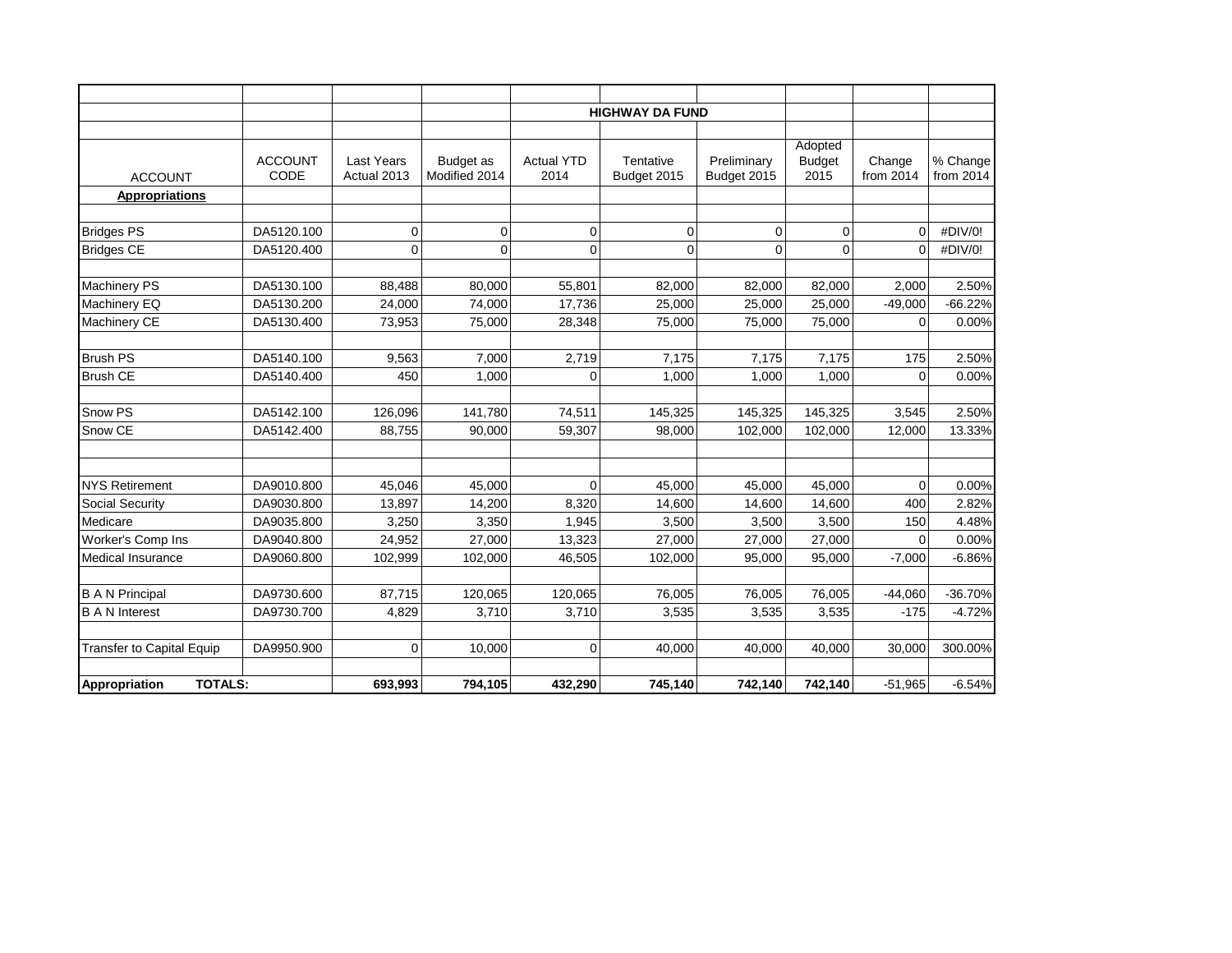|                                  |                        |                                  |                            |                           | <b>HIGHWAY DA FUND</b>   |                            |                                  |                     |                       |
|----------------------------------|------------------------|----------------------------------|----------------------------|---------------------------|--------------------------|----------------------------|----------------------------------|---------------------|-----------------------|
|                                  |                        |                                  |                            |                           |                          |                            |                                  |                     |                       |
| <b>ACCOUNT</b>                   | <b>ACCOUNT</b><br>CODE | <b>Last Years</b><br>Actual 2013 | Budget as<br>Modified 2014 | <b>Actual YTD</b><br>2014 | Tentative<br>Budget 2015 | Preliminary<br>Budget 2015 | Adopted<br><b>Budget</b><br>2015 | Change<br>from 2014 | % Change<br>from 2014 |
| <b>Appropriations</b>            |                        |                                  |                            |                           |                          |                            |                                  |                     |                       |
|                                  |                        |                                  |                            |                           |                          |                            |                                  |                     |                       |
| <b>Bridges PS</b>                | DA5120.100             | 0                                | 0                          | 0                         | 0                        | 0                          | 0                                | $\Omega$            | #DIV/0!               |
| <b>Bridges CE</b>                | DA5120.400             | $\mathbf{0}$                     | $\Omega$                   | $\Omega$                  | $\Omega$                 | $\overline{0}$             | $\Omega$                         | $\Omega$            | #DIV/0!               |
| Machinery PS                     | DA5130.100             | 88,488                           | 80,000                     | 55,801                    | 82,000                   | 82,000                     | 82,000                           | 2,000               | 2.50%                 |
| Machinery EQ                     | DA5130.200             | 24,000                           | 74,000                     | 17,736                    | 25,000                   | 25,000                     | 25,000                           | $-49,000$           | $-66.22%$             |
| Machinery CE                     | DA5130.400             | 73,953                           | 75,000                     | 28,348                    | 75,000                   | 75,000                     | 75,000                           | $\Omega$            | 0.00%                 |
|                                  |                        |                                  |                            |                           |                          |                            |                                  |                     |                       |
| <b>Brush PS</b>                  | DA5140.100             | 9,563                            | 7,000                      | 2,719                     | 7,175                    | 7,175                      | 7,175                            | 175                 | 2.50%                 |
| <b>Brush CE</b>                  | DA5140.400             | 450                              | 1,000                      | 0                         | 1,000                    | 1,000                      | 1,000                            | $\mathbf 0$         | 0.00%                 |
| Snow PS                          | DA5142.100             | 126,096                          | 141,780                    | 74,511                    | 145,325                  | 145,325                    | 145,325                          | 3,545               | 2.50%                 |
| Snow CE                          | DA5142.400             | 88,755                           | 90,000                     | 59,307                    | 98,000                   | 102,000                    | 102,000                          | 12,000              | 13.33%                |
|                                  |                        |                                  |                            |                           |                          |                            |                                  |                     |                       |
| <b>NYS Retirement</b>            | DA9010.800             | 45,046                           | 45,000                     | $\Omega$                  | 45,000                   | 45,000                     | 45,000                           | $\Omega$            | 0.00%                 |
| Social Security                  | DA9030.800             | 13,897                           | 14,200                     | 8,320                     | 14,600                   | 14,600                     | 14,600                           | 400                 | 2.82%                 |
| Medicare                         | DA9035.800             | 3,250                            | 3,350                      | 1,945                     | 3,500                    | 3,500                      | 3,500                            | 150                 | 4.48%                 |
| Worker's Comp Ins                | DA9040.800             | 24,952                           | 27,000                     | 13,323                    | 27,000                   | 27,000                     | 27,000                           | $\Omega$            | 0.00%                 |
| <b>Medical Insurance</b>         | DA9060.800             | 102,999                          | 102,000                    | 46,505                    | 102,000                  | 95,000                     | 95,000                           | $-7,000$            | $-6.86%$              |
|                                  |                        |                                  |                            |                           |                          |                            |                                  |                     |                       |
| <b>B A N Principal</b>           | DA9730.600             | 87,715                           | 120,065                    | 120,065                   | 76,005                   | 76,005                     | 76,005                           | $-44,060$           | $-36.70%$             |
| <b>B A N Interest</b>            | DA9730.700             | 4,829                            | 3,710                      | 3,710                     | 3,535                    | 3,535                      | 3,535                            | $-175$              | $-4.72%$              |
| <b>Transfer to Capital Equip</b> | DA9950.900             | $\mathbf 0$                      | 10,000                     | $\Omega$                  | 40,000                   | 40.000                     | 40,000                           | 30,000              | 300.00%               |
|                                  |                        |                                  |                            |                           |                          |                            |                                  |                     |                       |
| <b>TOTALS:</b><br>Appropriation  |                        | 693,993                          | 794,105                    | 432,290                   | 745,140                  | 742,140                    | 742,140                          | $-51,965$           | $-6.54%$              |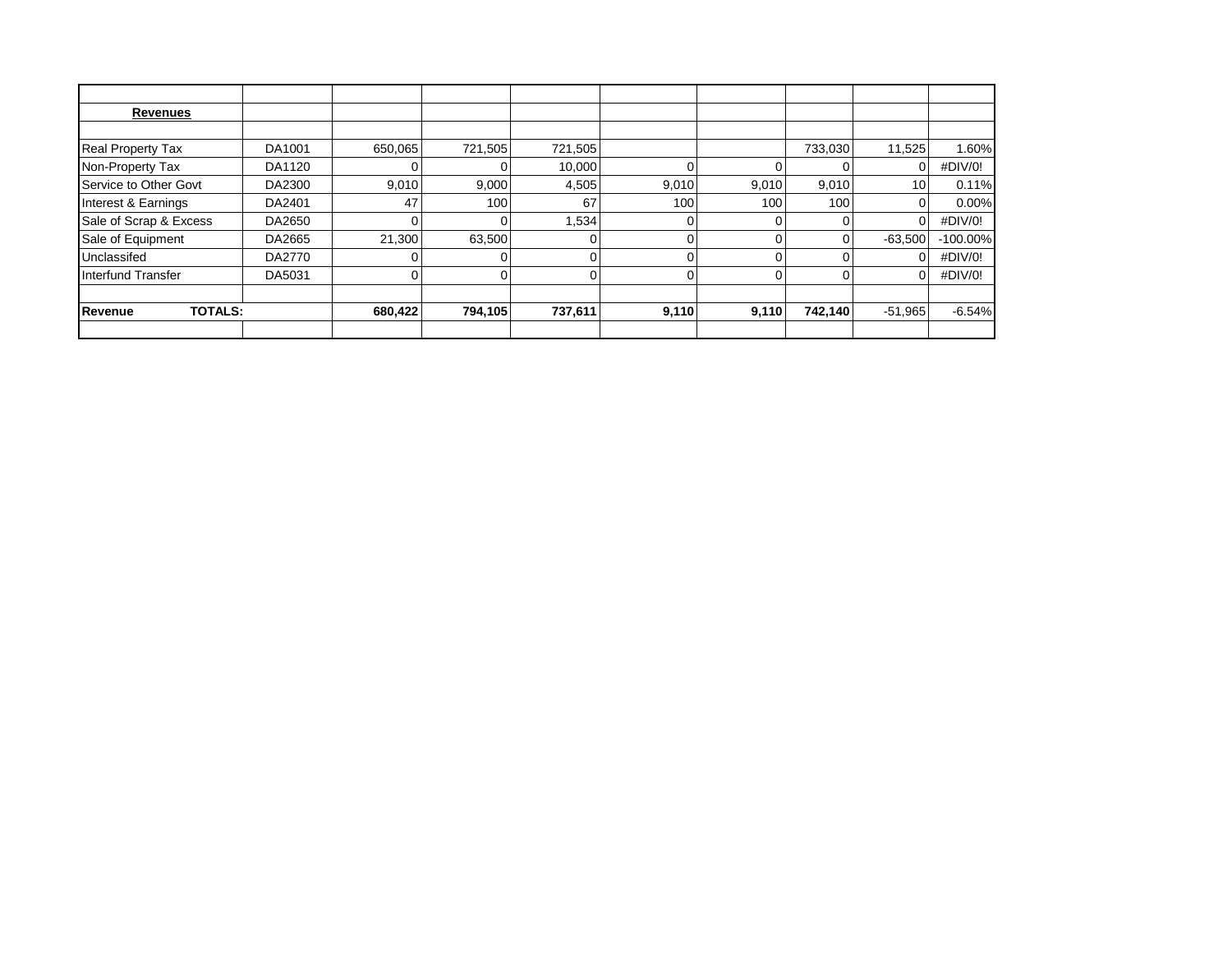| <b>Revenues</b>           |        |         |         |         |       |       |          |           |             |
|---------------------------|--------|---------|---------|---------|-------|-------|----------|-----------|-------------|
|                           |        |         |         |         |       |       |          |           |             |
| <b>Real Property Tax</b>  | DA1001 | 650,065 | 721,505 | 721,505 |       |       | 733,030  | 11,525    | 1.60%       |
| Non-Property Tax          | DA1120 |         |         | 10,000  |       |       |          |           | #DIV/0!     |
| Service to Other Govt     | DA2300 | 9,010   | 9,000   | 4,505   | 9,010 | 9,010 | 9,010    | 10        | 0.11%       |
| Interest & Earnings       | DA2401 | 47      | 100     | 67      | 100   | 100   | 100      |           | $0.00\%$    |
| Sale of Scrap & Excess    | DA2650 |         |         | 1,534   |       |       |          |           | #DIV/0!     |
| Sale of Equipment         | DA2665 | 21,300  | 63,500  |         | 0     |       | $\Omega$ | $-63,500$ | $-100.00\%$ |
| Unclassifed               | DA2770 |         |         |         |       |       |          |           | #DIV/0!     |
| <b>Interfund Transfer</b> | DA5031 |         |         |         | 0     |       | $\Omega$ |           | #DIV/0!     |
|                           |        |         |         |         |       |       |          |           |             |
| Revenue<br><b>TOTALS:</b> |        | 680,422 | 794,105 | 737,611 | 9,110 | 9,110 | 742,140  | $-51,965$ | $-6.54%$    |
|                           |        |         |         |         |       |       |          |           |             |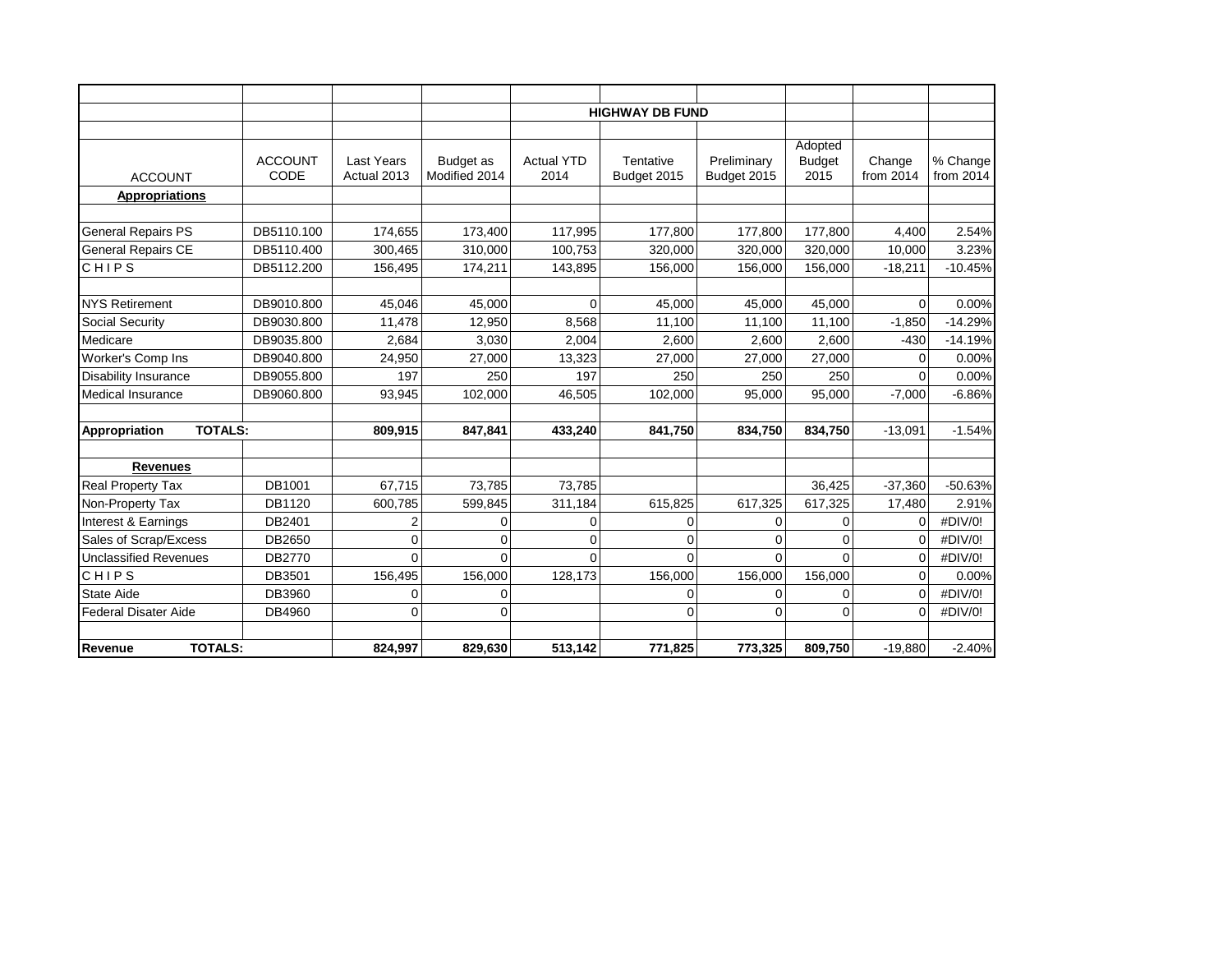|                                              |                  |                         |               |                   | <b>HIGHWAY DB FUND</b> |                     |                          |                      |                  |
|----------------------------------------------|------------------|-------------------------|---------------|-------------------|------------------------|---------------------|--------------------------|----------------------|------------------|
|                                              |                  |                         |               |                   |                        |                     |                          |                      |                  |
|                                              | <b>ACCOUNT</b>   | <b>Last Years</b>       | Budget as     | <b>Actual YTD</b> | Tentative              | Preliminary         | Adopted<br><b>Budget</b> | Change               | % Change         |
| <b>ACCOUNT</b>                               | CODE             | Actual 2013             | Modified 2014 | 2014              | Budget 2015            | Budget 2015         | 2015                     | from 2014            | from 2014        |
| <b>Appropriations</b>                        |                  |                         |               |                   |                        |                     |                          |                      |                  |
|                                              |                  |                         |               |                   |                        |                     |                          |                      |                  |
| <b>General Repairs PS</b>                    | DB5110.100       | 174,655                 | 173,400       | 117,995           | 177,800                | 177,800             | 177,800                  | 4,400                | 2.54%            |
| <b>General Repairs CE</b>                    | DB5110.400       | 300,465                 | 310,000       | 100,753           | 320,000                | 320,000             | 320,000                  | 10,000               | 3.23%            |
| CHIPS                                        | DB5112.200       | 156,495                 | 174,211       | 143,895           | 156,000                | 156,000             | 156,000                  | $-18,211$            | $-10.45%$        |
|                                              |                  |                         |               |                   |                        |                     |                          |                      |                  |
| <b>NYS Retirement</b>                        | DB9010.800       | 45.046                  | 45.000        | $\Omega$          | 45,000                 | 45.000              | 45.000                   | $\Omega$             | 0.00%            |
| Social Security                              | DB9030.800       | 11,478                  | 12,950        | 8,568             | 11,100                 | 11,100              | 11,100                   | $-1,850$             | $-14.29%$        |
| Medicare                                     | DB9035.800       | 2,684                   | 3,030         | 2,004             | 2,600                  | 2,600               | 2,600                    | $-430$               | $-14.19%$        |
| Worker's Comp Ins                            | DB9040.800       | 24,950                  | 27,000        | 13,323            | 27,000                 | 27,000              | 27,000                   | 0                    | 0.00%            |
| <b>Disability Insurance</b>                  | DB9055.800       | 197                     | 250           | 197               | 250                    | 250                 | 250                      | $\Omega$             | 0.00%            |
| <b>Medical Insurance</b>                     | DB9060.800       | 93,945                  | 102,000       | 46,505            | 102,000                | 95,000              | 95,000                   | $-7,000$             | $-6.86%$         |
|                                              |                  |                         |               |                   |                        |                     |                          |                      |                  |
| <b>TOTALS:</b><br>Appropriation              |                  | 809,915                 | 847,841       | 433,240           | 841,750                | 834,750             | 834,750                  | $-13,091$            | $-1.54%$         |
|                                              |                  |                         |               |                   |                        |                     |                          |                      |                  |
| <b>Revenues</b>                              | DB1001           |                         |               |                   |                        |                     |                          |                      |                  |
| Real Property Tax                            |                  | 67,715                  | 73,785        | 73,785            |                        |                     | 36,425                   | $-37,360$            | $-50.63%$        |
| Non-Property Tax                             | DB1120<br>DB2401 | 600,785                 | 599,845       | 311,184           | 615,825                | 617,325             | 617,325                  | 17,480               | 2.91%<br>#DIV/0! |
| Interest & Earnings<br>Sales of Scrap/Excess | DB2650           | 2                       | $\Omega$      | 0<br>$\Omega$     | 0<br>$\Omega$          | 0<br>$\overline{0}$ | 0                        | $\Omega$<br>$\Omega$ | #DIV/0!          |
|                                              |                  | $\mathbf 0$<br>$\Omega$ | 0             | $\Omega$          | $\Omega$               | $\Omega$            | 0<br>$\Omega$            |                      |                  |
| <b>Unclassified Revenues</b>                 | DB2770           |                         | $\Omega$      |                   |                        |                     |                          | $\mathbf 0$          | #DIV/0!          |
| CHIPS                                        | DB3501           | 156,495                 | 156,000       | 128,173           | 156,000                | 156,000             | 156,000                  | $\Omega$             | 0.00%            |
| <b>State Aide</b>                            | DB3960           | $\Omega$                | $\Omega$      |                   | 0                      | 0                   | 0                        | $\Omega$             | #DIV/0!          |
| <b>Federal Disater Aide</b>                  | DB4960           | $\Omega$                | $\Omega$      |                   | 0                      | 0                   | $\overline{0}$           | $\Omega$             | #DIV/0!          |
| <b>TOTALS:</b><br>Revenue                    |                  | 824,997                 | 829,630       | 513,142           | 771,825                | 773,325             | 809,750                  | $-19,880$            | $-2.40%$         |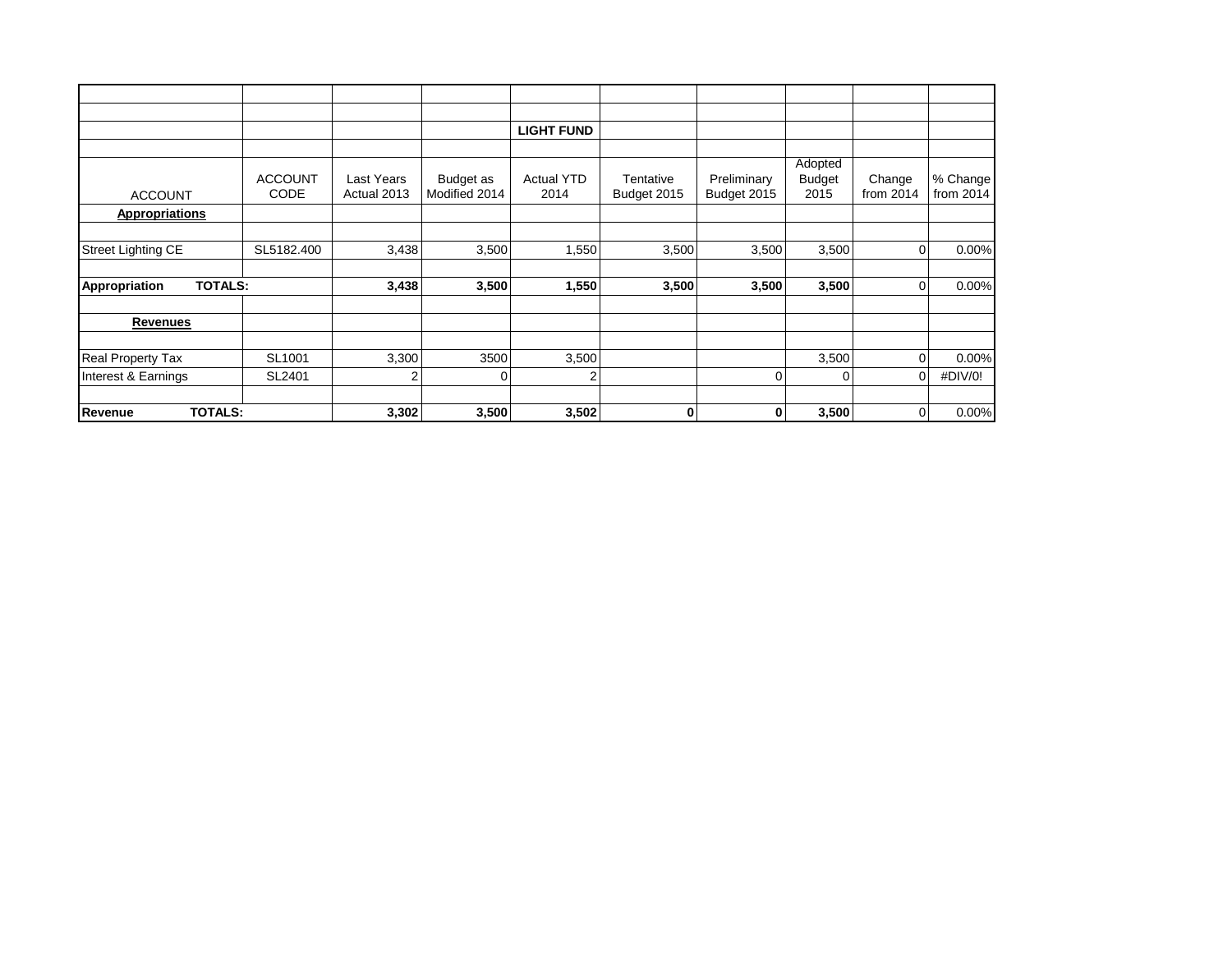|                                 |                |             |               | <b>LIGHT FUND</b> |             |             |               |             |           |
|---------------------------------|----------------|-------------|---------------|-------------------|-------------|-------------|---------------|-------------|-----------|
|                                 |                |             |               |                   |             |             |               |             |           |
|                                 |                |             |               |                   |             |             | Adopted       |             |           |
|                                 | <b>ACCOUNT</b> | Last Years  | Budget as     | <b>Actual YTD</b> | Tentative   | Preliminary | <b>Budget</b> | Change      | % Change  |
| <b>ACCOUNT</b>                  | <b>CODE</b>    | Actual 2013 | Modified 2014 | 2014              | Budget 2015 | Budget 2015 | 2015          | from $2014$ | from 2014 |
| <b>Appropriations</b>           |                |             |               |                   |             |             |               |             |           |
|                                 |                |             |               |                   |             |             |               |             |           |
| <b>Street Lighting CE</b>       | SL5182.400     | 3,438       | 3,500         | 1,550             | 3,500       | 3,500       | 3,500         | $\Omega$    | 0.00%     |
|                                 |                |             |               |                   |             |             |               |             |           |
| <b>TOTALS:</b><br>Appropriation |                | 3,438       | 3,500         | 1,550             | 3,500       | 3,500       | 3,500         | $\Omega$    | 0.00%     |
| <b>Revenues</b>                 |                |             |               |                   |             |             |               |             |           |
|                                 |                |             |               |                   |             |             |               |             |           |
| <b>Real Property Tax</b>        | SL1001         | 3,300       | 3500          | 3,500             |             |             | 3,500         | $\Omega$    | 0.00%     |
| Interest & Earnings             | SL2401         | 2           | 0             | 2                 |             | 0           | 0             | 0           | #DIV/0!   |
| Revenue<br><b>TOTALS:</b>       |                | 3,302       | 3,500         | 3,502             | 0           | 0           | 3,500         | 0           | 0.00%     |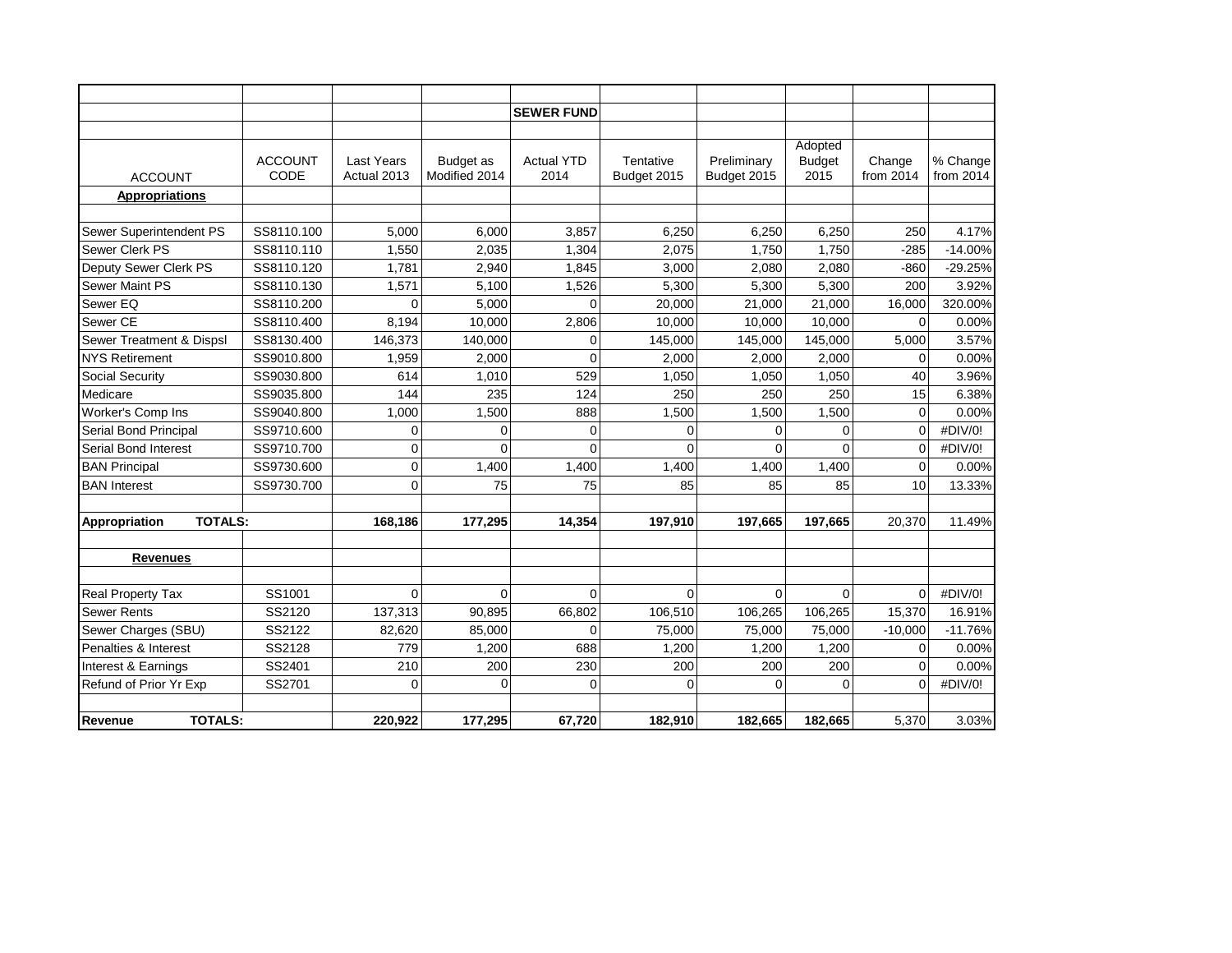|                                 |                        |                                  |                            | <b>SEWER FUND</b>         |                          |                            |                                  |                       |                       |
|---------------------------------|------------------------|----------------------------------|----------------------------|---------------------------|--------------------------|----------------------------|----------------------------------|-----------------------|-----------------------|
|                                 |                        |                                  |                            |                           |                          |                            |                                  |                       |                       |
| <b>ACCOUNT</b>                  | <b>ACCOUNT</b><br>CODE | <b>Last Years</b><br>Actual 2013 | Budget as<br>Modified 2014 | <b>Actual YTD</b><br>2014 | Tentative<br>Budget 2015 | Preliminary<br>Budget 2015 | Adopted<br><b>Budget</b><br>2015 | Change<br>from $2014$ | % Change<br>from 2014 |
| <b>Appropriations</b>           |                        |                                  |                            |                           |                          |                            |                                  |                       |                       |
|                                 |                        |                                  |                            |                           |                          |                            |                                  |                       |                       |
| Sewer Superintendent PS         | SS8110.100             | 5,000                            | 6,000                      | 3,857                     | 6,250                    | 6,250                      | 6,250                            | 250                   | 4.17%                 |
| Sewer Clerk PS                  | SS8110.110             | 1,550                            | 2,035                      | 1,304                     | 2,075                    | 1,750                      | 1,750                            | $-285$                | $-14.00%$             |
| Deputy Sewer Clerk PS           | SS8110.120             | 1,781                            | 2,940                      | 1,845                     | 3,000                    | 2,080                      | 2,080                            | $-860$                | $-29.25%$             |
| <b>Sewer Maint PS</b>           | SS8110.130             | 1,571                            | 5,100                      | 1,526                     | 5,300                    | 5,300                      | 5,300                            | 200                   | 3.92%                 |
| Sewer EQ                        | SS8110.200             | $\Omega$                         | 5,000                      | $\Omega$                  | 20,000                   | 21,000                     | 21,000                           | 16,000                | 320.00%               |
| Sewer CE                        | SS8110.400             | 8,194                            | 10,000                     | 2,806                     | 10,000                   | 10,000                     | 10,000                           | $\Omega$              | 0.00%                 |
| Sewer Treatment & Dispsl        | SS8130.400             | 146,373                          | 140,000                    | 0                         | 145,000                  | 145,000                    | 145,000                          | 5,000                 | 3.57%                 |
| <b>NYS Retirement</b>           | SS9010.800             | 1,959                            | 2,000                      | $\Omega$                  | 2,000                    | 2,000                      | 2,000                            | $\Omega$              | 0.00%                 |
| Social Security                 | SS9030.800             | 614                              | 1,010                      | 529                       | 1,050                    | 1,050                      | 1,050                            | 40                    | 3.96%                 |
| Medicare                        | SS9035.800             | 144                              | 235                        | 124                       | 250                      | 250                        | 250                              | 15                    | 6.38%                 |
| Worker's Comp Ins               | SS9040.800             | 1,000                            | 1,500                      | 888                       | 1,500                    | 1,500                      | 1,500                            | $\mathbf 0$           | 0.00%                 |
| Serial Bond Principal           | SS9710.600             | 0                                | 0                          | 0                         | 0                        | 0                          | 0                                | $\mathbf 0$           | #DIV/0!               |
| Serial Bond Interest            | SS9710.700             | $\Omega$                         | $\Omega$                   | $\Omega$                  | $\Omega$                 | 0                          | $\Omega$                         | $\Omega$              | #DIV/0!               |
| <b>BAN Principal</b>            | SS9730.600             | 0                                | 1,400                      | 1,400                     | 1,400                    | 1,400                      | 1,400                            | $\mathbf 0$           | 0.00%                 |
| <b>BAN</b> Interest             | SS9730.700             | $\Omega$                         | 75                         | 75                        | 85                       | 85                         | 85                               | 10                    | 13.33%                |
| <b>TOTALS:</b><br>Appropriation |                        | 168,186                          | 177,295                    | 14,354                    | 197,910                  | 197,665                    | 197,665                          | 20,370                | 11.49%                |
|                                 |                        |                                  |                            |                           |                          |                            |                                  |                       |                       |
| <b>Revenues</b>                 |                        |                                  |                            |                           |                          |                            |                                  |                       |                       |
| Real Property Tax               | SS1001                 | 0                                | $\overline{0}$             | $\Omega$                  | $\mathbf 0$              | $\overline{0}$             | $\mathbf 0$                      | $\mathbf 0$           | #DIV/0!               |
| <b>Sewer Rents</b>              | SS2120                 | 137,313                          | 90,895                     | 66,802                    | 106,510                  | 106,265                    | 106,265                          | 15,370                | 16.91%                |
| Sewer Charges (SBU)             | SS2122                 | 82,620                           | 85,000                     | 0                         | 75,000                   | 75,000                     | 75,000                           | $-10,000$             | $-11.76%$             |
| Penalties & Interest            | SS2128                 | 779                              | 1,200                      | 688                       | 1,200                    | 1,200                      | 1,200                            | $\mathbf 0$           | 0.00%                 |
| Interest & Earnings             | SS2401                 | 210                              | 200                        | 230                       | 200                      | 200                        | 200                              | $\mathbf 0$           | 0.00%                 |
| Refund of Prior Yr Exp          | SS2701                 | $\Omega$                         | $\Omega$                   | $\Omega$                  | $\Omega$                 | $\Omega$                   | $\Omega$                         | $\Omega$              | #DIV/0!               |
| <b>TOTALS:</b><br>Revenue       |                        | 220,922                          | 177,295                    | 67,720                    | 182,910                  | 182,665                    | 182,665                          | 5,370                 | 3.03%                 |
|                                 |                        |                                  |                            |                           |                          |                            |                                  |                       |                       |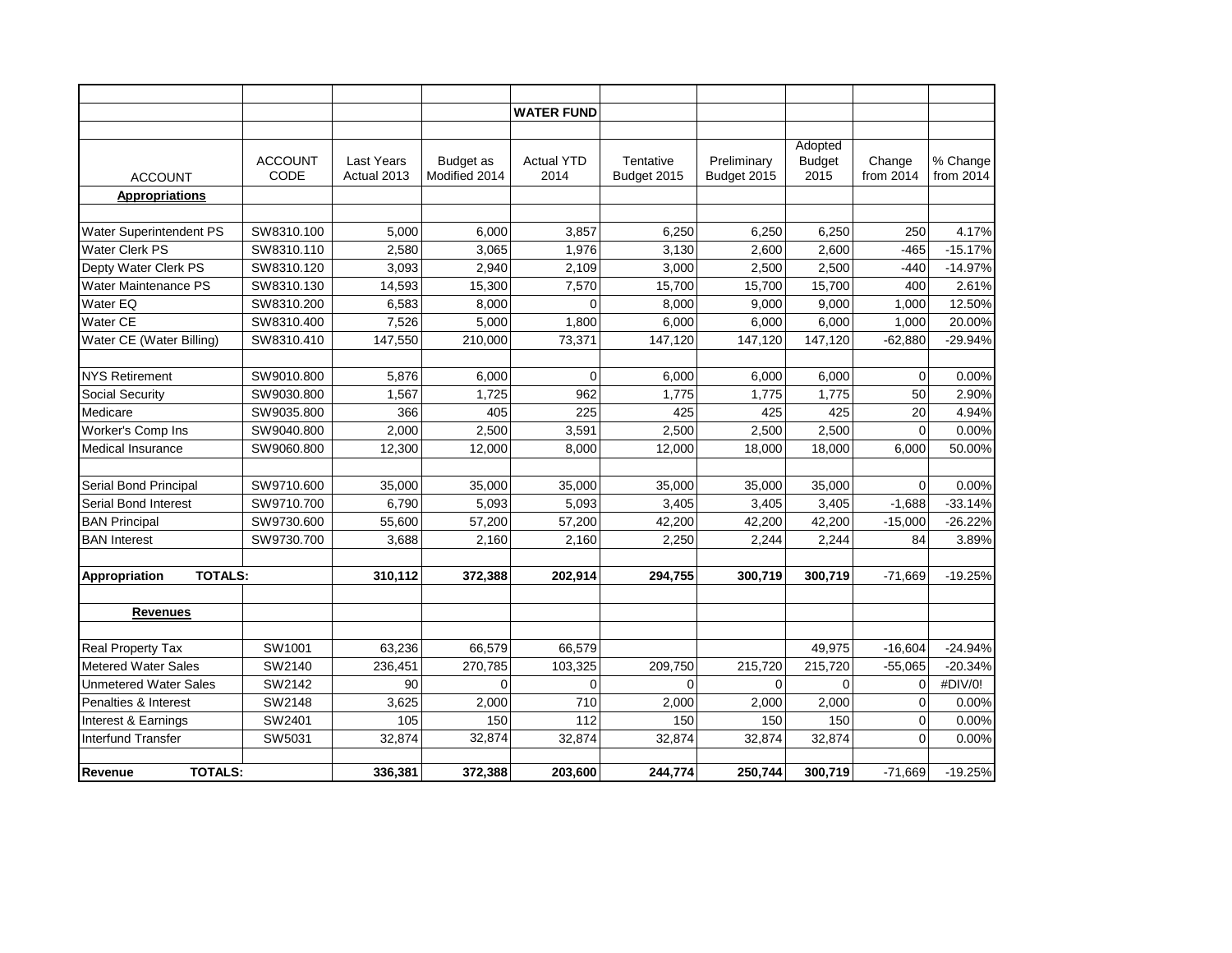|                                 |                        |                           |                            | <b>WATER FUND</b>         |                          |                            |                                  |                     |                       |
|---------------------------------|------------------------|---------------------------|----------------------------|---------------------------|--------------------------|----------------------------|----------------------------------|---------------------|-----------------------|
|                                 |                        |                           |                            |                           |                          |                            |                                  |                     |                       |
| <b>ACCOUNT</b>                  | <b>ACCOUNT</b><br>CODE | Last Years<br>Actual 2013 | Budget as<br>Modified 2014 | <b>Actual YTD</b><br>2014 | Tentative<br>Budget 2015 | Preliminary<br>Budget 2015 | Adopted<br><b>Budget</b><br>2015 | Change<br>from 2014 | % Change<br>from 2014 |
| <b>Appropriations</b>           |                        |                           |                            |                           |                          |                            |                                  |                     |                       |
|                                 |                        |                           |                            |                           |                          |                            |                                  |                     |                       |
| Water Superintendent PS         | SW8310.100             | 5,000                     | 6.000                      | 3,857                     | 6.250                    | 6,250                      | 6,250                            | 250                 | 4.17%                 |
| Water Clerk PS                  | SW8310.110             | 2,580                     | 3,065                      | 1,976                     | 3,130                    | 2.600                      | 2,600                            | $-465$              | $-15.17%$             |
| Depty Water Clerk PS            | SW8310.120             | 3,093                     | 2,940                      | 2,109                     | 3,000                    | 2,500                      | 2,500                            | $-440$              | $-14.97%$             |
| <b>Water Maintenance PS</b>     | SW8310.130             | 14,593                    | 15,300                     | 7,570                     | 15,700                   | 15,700                     | 15,700                           | 400                 | 2.61%                 |
| Water EQ                        | SW8310.200             | 6,583                     | 8,000                      | $\Omega$                  | 8,000                    | 9,000                      | 9,000                            | 1,000               | 12.50%                |
| Water CE                        | SW8310.400             | 7,526                     | 5,000                      | 1,800                     | 6,000                    | 6,000                      | 6,000                            | 1,000               | 20.00%                |
| Water CE (Water Billing)        | SW8310.410             | 147,550                   | 210,000                    | 73,371                    | 147,120                  | 147,120                    | 147,120                          | $-62,880$           | $-29.94%$             |
|                                 |                        |                           |                            |                           |                          |                            |                                  |                     |                       |
| <b>NYS Retirement</b>           | SW9010.800             | 5,876                     | 6,000                      | $\Omega$                  | 6,000                    | 6.000                      | 6,000                            | 0                   | 0.00%                 |
| <b>Social Security</b>          | SW9030.800             | 1,567                     | 1.725                      | 962                       | 1,775                    | 1,775                      | 1,775                            | 50                  | 2.90%                 |
| Medicare                        | SW9035.800             | 366                       | 405                        | 225                       | 425                      | 425                        | 425                              | 20                  | 4.94%                 |
| Worker's Comp Ins               | SW9040.800             | 2,000                     | 2,500                      | 3,591                     | 2,500                    | 2,500                      | 2,500                            | 0                   | 0.00%                 |
| Medical Insurance               | SW9060.800             | 12,300                    | 12,000                     | 8,000                     | 12,000                   | 18,000                     | 18,000                           | 6,000               | 50.00%                |
|                                 |                        |                           |                            |                           |                          |                            |                                  |                     |                       |
| Serial Bond Principal           | SW9710.600             | 35,000                    | 35,000                     | 35,000                    | 35,000                   | 35,000                     | 35,000                           | $\Omega$            | 0.00%                 |
| Serial Bond Interest            | SW9710.700             | 6,790                     | 5,093                      | 5,093                     | 3,405                    | 3,405                      | 3,405                            | $-1,688$            | $-33.14%$             |
| <b>BAN Principal</b>            | SW9730.600             | 55,600                    | 57,200                     | 57,200                    | 42,200                   | 42,200                     | 42,200                           | $-15,000$           | $-26.22%$             |
| <b>BAN Interest</b>             | SW9730.700             | 3,688                     | 2,160                      | 2,160                     | 2,250                    | 2,244                      | 2,244                            | 84                  | 3.89%                 |
|                                 |                        |                           |                            |                           |                          |                            |                                  |                     |                       |
| <b>TOTALS:</b><br>Appropriation |                        | 310,112                   | 372,388                    | 202,914                   | 294,755                  | 300,719                    | 300,719                          | $-71.669$           | $-19.25%$             |
|                                 |                        |                           |                            |                           |                          |                            |                                  |                     |                       |
| <b>Revenues</b>                 |                        |                           |                            |                           |                          |                            |                                  |                     |                       |
|                                 |                        |                           |                            |                           |                          |                            |                                  |                     |                       |
| Real Property Tax               | SW1001                 | 63,236                    | 66,579                     | 66,579                    |                          |                            | 49,975                           | $-16,604$           | $-24.94%$             |
| <b>Metered Water Sales</b>      | SW2140                 | 236,451                   | 270,785                    | 103,325                   | 209,750                  | 215,720                    | 215,720                          | $-55,065$           | $-20.34%$             |
| Unmetered Water Sales           | SW2142                 | 90                        | $\Omega$                   | 0                         | $\Omega$                 | $\mathbf 0$                | 0                                | $\Omega$            | #DIV/0!               |
| Penalties & Interest            | SW2148                 | 3,625                     | 2,000                      | 710                       | 2,000                    | 2,000                      | 2,000                            | 0                   | 0.00%                 |
| Interest & Earnings             | SW2401                 | 105                       | 150                        | 112                       | 150                      | 150                        | 150                              | 0                   | 0.00%                 |
| <b>Interfund Transfer</b>       | SW5031                 | 32,874                    | 32,874                     | 32,874                    | 32,874                   | 32,874                     | 32,874                           | $\overline{0}$      | 0.00%                 |
|                                 |                        |                           |                            |                           |                          |                            |                                  |                     |                       |
| <b>TOTALS:</b><br>Revenue       |                        | 336,381                   | 372,388                    | 203,600                   | 244,774                  | 250,744                    | 300,719                          | $-71,669$           | $-19.25%$             |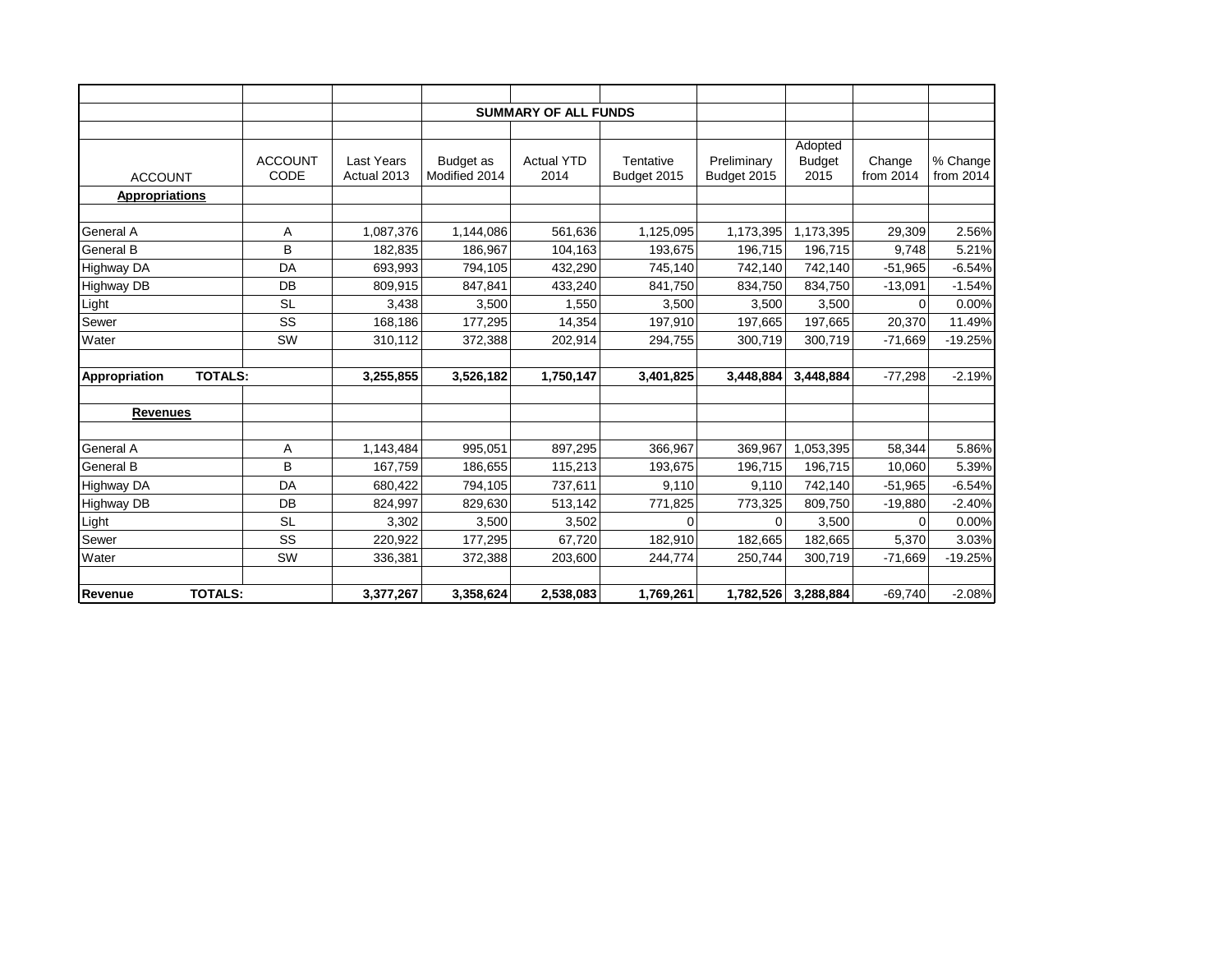|                                 |                |                   |               | <b>SUMMARY OF ALL FUNDS</b> |             |             |               |             |           |
|---------------------------------|----------------|-------------------|---------------|-----------------------------|-------------|-------------|---------------|-------------|-----------|
|                                 |                |                   |               |                             |             |             |               |             |           |
|                                 |                |                   |               |                             |             |             | Adopted       |             |           |
|                                 | <b>ACCOUNT</b> | <b>Last Years</b> | Budget as     | <b>Actual YTD</b>           | Tentative   | Preliminary | <b>Budget</b> | Change      | % Change  |
| <b>ACCOUNT</b>                  | <b>CODE</b>    | Actual 2013       | Modified 2014 | 2014                        | Budget 2015 | Budget 2015 | 2015          | from $2014$ | from 2014 |
| <b>Appropriations</b>           |                |                   |               |                             |             |             |               |             |           |
|                                 |                |                   |               |                             |             |             |               |             |           |
| <b>General A</b><br>A           |                | 1,087,376         | 1,144,086     | 561,636                     | 1,125,095   | 1,173,395   | 1,173,395     | 29,309      | 2.56%     |
| <b>General B</b>                | B              | 182,835           | 186,967       | 104,163                     | 193,675     | 196,715     | 196,715       | 9,748       | 5.21%     |
| <b>Highway DA</b>               | DA             | 693.993           | 794,105       | 432,290                     | 745.140     | 742,140     | 742.140       | $-51,965$   | $-6.54%$  |
| Highway DB                      | DB             | 809,915           | 847,841       | 433,240                     | 841,750     | 834,750     | 834,750       | $-13,091$   | $-1.54%$  |
| <b>SL</b><br>Light              |                | 3,438             | 3,500         | 1,550                       | 3.500       | 3.500       | 3,500         | $\Omega$    | 0.00%     |
| Sewer                           | SS             | 168,186           | 177,295       | 14,354                      | 197,910     | 197,665     | 197,665       | 20,370      | 11.49%    |
| Water                           | SW             | 310,112           | 372,388       | 202,914                     | 294,755     | 300,719     | 300,719       | $-71,669$   | $-19.25%$ |
|                                 |                |                   |               |                             |             |             |               |             |           |
| <b>TOTALS:</b><br>Appropriation |                | 3,255,855         | 3,526,182     | 1,750,147                   | 3,401,825   | 3,448,884   | 3,448,884     | $-77,298$   | $-2.19%$  |
| <b>Revenues</b>                 |                |                   |               |                             |             |             |               |             |           |
|                                 |                |                   |               |                             |             |             |               |             |           |
| <b>General A</b>                | Α              | 1,143,484         | 995,051       | 897,295                     | 366,967     | 369,967     | 1,053,395     | 58,344      | 5.86%     |
| General B                       | B              | 167,759           | 186,655       | 115,213                     | 193.675     | 196,715     | 196.715       | 10,060      | 5.39%     |
| <b>Highway DA</b>               | DA             | 680,422           | 794,105       | 737,611                     | 9,110       | 9,110       | 742,140       | $-51,965$   | $-6.54%$  |
| <b>Highway DB</b>               | DB             | 824,997           | 829,630       | 513.142                     | 771,825     | 773,325     | 809.750       | $-19,880$   | $-2.40%$  |
| Light                           | <b>SL</b>      | 3,302             | 3,500         | 3,502                       | $\Omega$    |             | 3,500         | $\Omega$    | 0.00%     |
| Sewer                           | SS             | 220,922           | 177,295       | 67,720                      | 182,910     | 182,665     | 182,665       | 5,370       | 3.03%     |
| Water                           | SW             | 336,381           | 372,388       | 203,600                     | 244,774     | 250,744     | 300,719       | $-71,669$   | $-19.25%$ |
|                                 |                |                   |               |                             |             |             |               |             |           |
| Revenue<br><b>TOTALS:</b>       |                | 3,377,267         | 3,358,624     | 2,538,083                   | 1,769,261   | 1,782,526   | 3,288,884     | $-69,740$   | $-2.08%$  |